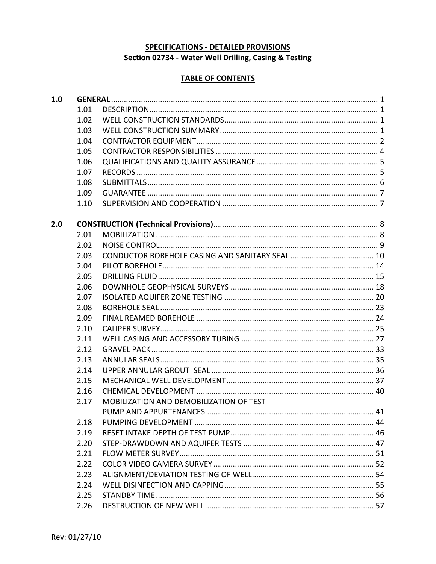# SPECIFICATIONS - DETAILED PROVISIONS

# Section 02734 - Water Well Drilling, Casing & Testing

# **TABLE OF CONTENTS**

| 1.0 |      |                                         |  |  |  |
|-----|------|-----------------------------------------|--|--|--|
|     | 1.01 |                                         |  |  |  |
|     | 1.02 |                                         |  |  |  |
|     | 1.03 |                                         |  |  |  |
|     | 1.04 |                                         |  |  |  |
|     | 1.05 |                                         |  |  |  |
|     | 1.06 |                                         |  |  |  |
|     | 1.07 |                                         |  |  |  |
|     | 1.08 |                                         |  |  |  |
|     | 1.09 |                                         |  |  |  |
|     | 1.10 |                                         |  |  |  |
| 2.0 |      |                                         |  |  |  |
|     | 2.01 |                                         |  |  |  |
|     | 2.02 |                                         |  |  |  |
|     | 2.03 |                                         |  |  |  |
|     | 2.04 |                                         |  |  |  |
|     | 2.05 |                                         |  |  |  |
|     | 2.06 |                                         |  |  |  |
|     | 2.07 |                                         |  |  |  |
|     | 2.08 |                                         |  |  |  |
|     | 2.09 |                                         |  |  |  |
|     | 2.10 |                                         |  |  |  |
|     | 2.11 |                                         |  |  |  |
|     | 2.12 |                                         |  |  |  |
|     | 2.13 |                                         |  |  |  |
|     | 2.14 |                                         |  |  |  |
|     | 2.15 |                                         |  |  |  |
|     | 2.16 |                                         |  |  |  |
|     | 2.17 | MOBILIZATION AND DEMOBILIZATION OF TEST |  |  |  |
|     |      | 41                                      |  |  |  |
|     | 2.18 |                                         |  |  |  |
|     | 2.19 |                                         |  |  |  |
|     | 2.20 |                                         |  |  |  |
|     | 2.21 |                                         |  |  |  |
|     | 2.22 |                                         |  |  |  |
|     | 2.23 |                                         |  |  |  |
|     | 2.24 |                                         |  |  |  |
|     | 2.25 |                                         |  |  |  |
|     | 2.26 |                                         |  |  |  |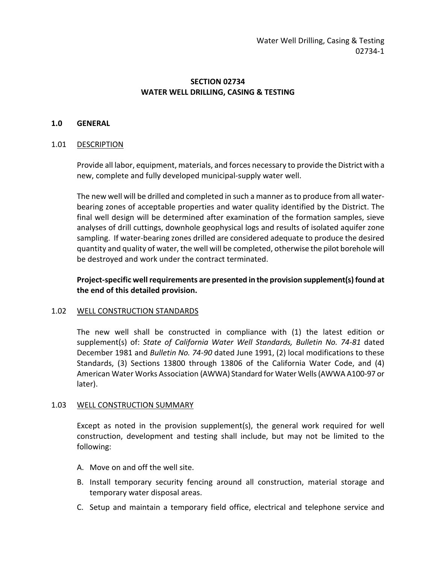# **SECTION 02734 WATER WELL DRILLING, CASING & TESTING**

### **1.0 GENERAL**

#### 1.01 DESCRIPTION

Provide all labor, equipment, materials, and forces necessary to provide the District with a new, complete and fully developed municipal-supply water well.

The new well will be drilled and completed in such a manner as to produce from all waterbearing zones of acceptable properties and water quality identified by the District. The final well design will be determined after examination of the formation samples, sieve analyses of drill cuttings, downhole geophysical logs and results of isolated aquifer zone sampling. If water-bearing zones drilled are considered adequate to produce the desired quantity and quality of water, the well will be completed, otherwise the pilot borehole will be destroyed and work under the contract terminated.

**Project-specific well requirements are presented in the provision supplement(s)found at the end of this detailed provision.**

#### 1.02 WELL CONSTRUCTION STANDARDS

The new well shall be constructed in compliance with (1) the latest edition or supplement(s) of: *State of California Water Well Standards, Bulletin No. 74-81* dated December 1981 and *Bulletin No. 74-90* dated June 1991, (2) local modifications to these Standards, (3) Sections 13800 through 13806 of the California Water Code, and (4) American Water Works Association (AWWA) Standard for Water Wells (AWWA A100-97 or later).

### 1.03 WELL CONSTRUCTION SUMMARY

Except as noted in the provision supplement(s), the general work required for well construction, development and testing shall include, but may not be limited to the following:

- A. Move on and off the well site.
- B. Install temporary security fencing around all construction, material storage and temporary water disposal areas.
- C. Setup and maintain a temporary field office, electrical and telephone service and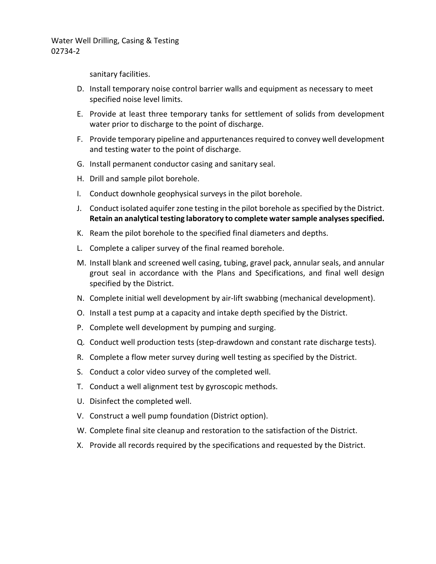sanitary facilities.

- D. Install temporary noise control barrier walls and equipment as necessary to meet specified noise level limits.
- E. Provide at least three temporary tanks for settlement of solids from development water prior to discharge to the point of discharge.
- F. Provide temporary pipeline and appurtenances required to convey well development and testing water to the point of discharge.
- G. Install permanent conductor casing and sanitary seal.
- H. Drill and sample pilot borehole.
- I. Conduct downhole geophysical surveys in the pilot borehole.
- J. Conduct isolated aquifer zone testing in the pilot borehole as specified by the District. **Retain an analytical testing laboratory to complete water sample analyses specified.**
- K. Ream the pilot borehole to the specified final diameters and depths.
- L. Complete a caliper survey of the final reamed borehole.
- M. Install blank and screened well casing, tubing, gravel pack, annular seals, and annular grout seal in accordance with the Plans and Specifications, and final well design specified by the District.
- N. Complete initial well development by air-lift swabbing (mechanical development).
- O. Install a test pump at a capacity and intake depth specified by the District.
- P. Complete well development by pumping and surging.
- Q. Conduct well production tests (step-drawdown and constant rate discharge tests).
- R. Complete a flow meter survey during well testing as specified by the District.
- S. Conduct a color video survey of the completed well.
- T. Conduct a well alignment test by gyroscopic methods.
- U. Disinfect the completed well.
- V. Construct a well pump foundation (District option).
- W. Complete final site cleanup and restoration to the satisfaction of the District.
- X. Provide all records required by the specifications and requested by the District.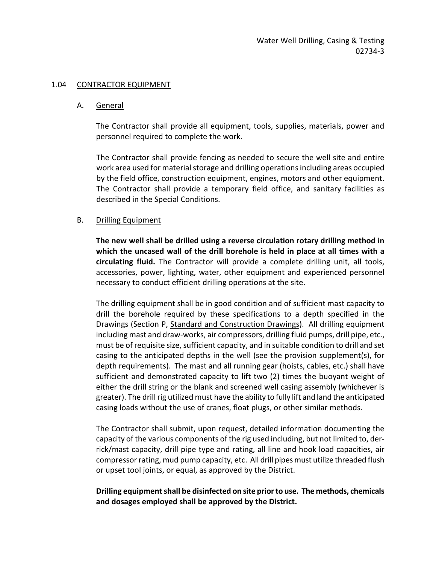### 1.04 CONTRACTOR EQUIPMENT

### A. General

The Contractor shall provide all equipment, tools, supplies, materials, power and personnel required to complete the work.

The Contractor shall provide fencing as needed to secure the well site and entire work area used for material storage and drilling operations including areas occupied by the field office, construction equipment, engines, motors and other equipment. The Contractor shall provide a temporary field office, and sanitary facilities as described in the Special Conditions.

### B. Drilling Equipment

**The new well shall be drilled using a reverse circulation rotary drilling method in which the uncased wall of the drill borehole is held in place at all times with a circulating fluid.** The Contractor will provide a complete drilling unit, all tools, accessories, power, lighting, water, other equipment and experienced personnel necessary to conduct efficient drilling operations at the site.

The drilling equipment shall be in good condition and of sufficient mast capacity to drill the borehole required by these specifications to a depth specified in the Drawings (Section P, Standard and Construction Drawings). All drilling equipment including mast and draw-works, air compressors, drilling fluid pumps, drill pipe, etc., must be of requisite size, sufficient capacity, and in suitable condition to drill and set casing to the anticipated depths in the well (see the provision supplement(s), for depth requirements). The mast and all running gear (hoists, cables, etc.) shall have sufficient and demonstrated capacity to lift two (2) times the buoyant weight of either the drill string or the blank and screened well casing assembly (whichever is greater). The drill rig utilized must have the ability to fully lift and land the anticipated casing loads without the use of cranes, float plugs, or other similar methods.

The Contractor shall submit, upon request, detailed information documenting the capacity of the various components of the rig used including, but not limited to, derrick/mast capacity, drill pipe type and rating, all line and hook load capacities, air compressor rating, mud pump capacity, etc. All drill pipes must utilize threaded flush or upset tool joints, or equal, as approved by the District.

# **Drilling equipment shall be disinfected on site prior to use. The methods, chemicals and dosages employed shall be approved by the District.**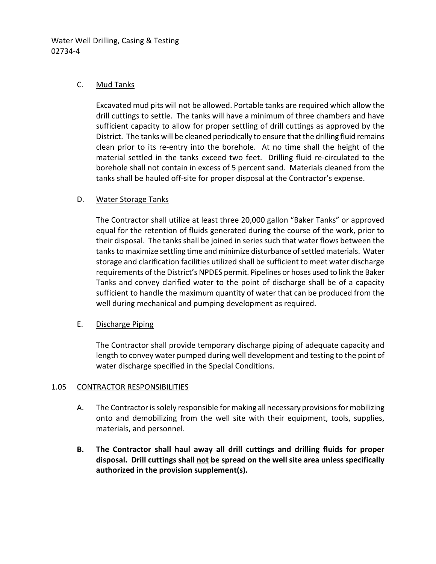# C. Mud Tanks

Excavated mud pits will not be allowed. Portable tanks are required which allow the drill cuttings to settle. The tanks will have a minimum of three chambers and have sufficient capacity to allow for proper settling of drill cuttings as approved by the District. The tanks will be cleaned periodically to ensure that the drilling fluid remains clean prior to its re-entry into the borehole. At no time shall the height of the material settled in the tanks exceed two feet. Drilling fluid re-circulated to the borehole shall not contain in excess of 5 percent sand. Materials cleaned from the tanks shall be hauled off-site for proper disposal at the Contractor's expense.

# D. Water Storage Tanks

The Contractor shall utilize at least three 20,000 gallon "Baker Tanks" or approved equal for the retention of fluids generated during the course of the work, prior to their disposal. The tanks shall be joined in series such that water flows between the tanks to maximize settling time and minimize disturbance of settled materials. Water storage and clarification facilities utilized shall be sufficient to meet water discharge requirements of the District's NPDES permit. Pipelines or hoses used to link the Baker Tanks and convey clarified water to the point of discharge shall be of a capacity sufficient to handle the maximum quantity of water that can be produced from the well during mechanical and pumping development as required.

# E. Discharge Piping

The Contractor shall provide temporary discharge piping of adequate capacity and length to convey water pumped during well development and testing to the point of water discharge specified in the Special Conditions.

### 1.05 CONTRACTOR RESPONSIBILITIES

- A. The Contractor is solely responsible for making all necessary provisions for mobilizing onto and demobilizing from the well site with their equipment, tools, supplies, materials, and personnel.
- **B. The Contractor shall haul away all drill cuttings and drilling fluids for proper disposal. Drill cuttings shall not be spread on the well site area unless specifically authorized in the provision supplement(s).**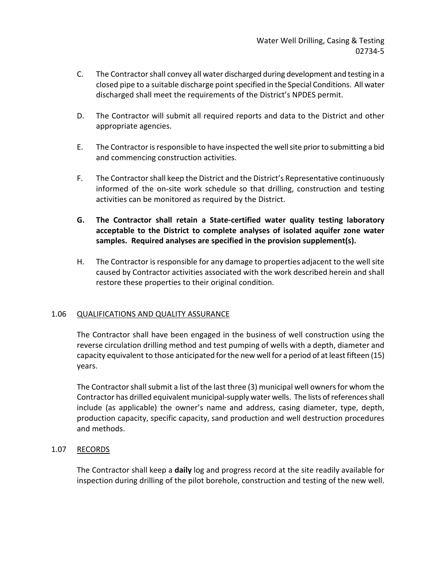- C. The Contractor shall convey all water discharged during development and testing in a closed pipe to a suitable discharge point specified in the Special Conditions. All water discharged shall meet the requirements of the District's NPDES permit.
- D. The Contractor will submit all required reports and data to the District and other appropriate agencies.
- E. The Contractor is responsible to have inspected the well site prior to submitting a bid and commencing construction activities.
- F. The Contractor shall keep the District and the District's Representative continuously informed of the on-site work schedule so that drilling, construction and testing activities can be monitored as required by the District.
- **G. The Contractor shall retain a State-certified water quality testing laboratory acceptable to the District to complete analyses of isolated aquifer zone water samples. Required analyses are specified in the provision supplement(s).**
- H. The Contractor is responsible for any damage to properties adjacent to the well site caused by Contractor activities associated with the work described herein and shall restore these properties to their original condition.

# 1.06 QUALIFICATIONS AND QUALITY ASSURANCE

The Contractor shall have been engaged in the business of well construction using the reverse circulation drilling method and test pumping of wells with a depth, diameter and capacity equivalent to those anticipated for the new well for a period of at least fifteen (15) years.

The Contractor shall submit a list of the last three (3) municipal well owners for whom the Contractor has drilled equivalent municipal-supply water wells. The lists of references shall include (as applicable) the owner's name and address, casing diameter, type, depth, production capacity, specific capacity, sand production and well destruction procedures and methods.

# 1.07 RECORDS

The Contractor shall keep a **daily** log and progress record at the site readily available for inspection during drilling of the pilot borehole, construction and testing of the new well.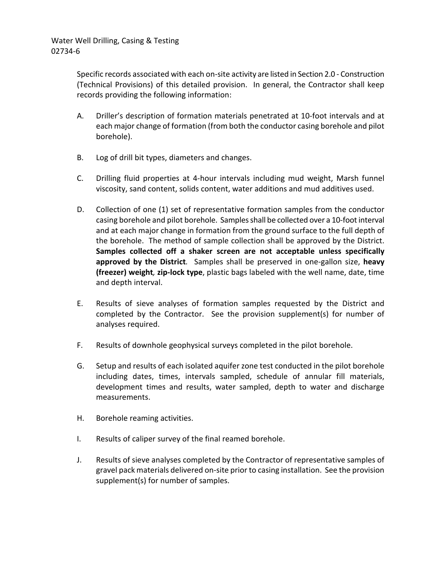Specific records associated with each on-site activity are listed in Section 2.0 - Construction (Technical Provisions) of this detailed provision. In general, the Contractor shall keep records providing the following information:

- A. Driller's description of formation materials penetrated at 10-foot intervals and at each major change of formation (from both the conductor casing borehole and pilot borehole).
- B. Log of drill bit types, diameters and changes.
- C. Drilling fluid properties at 4-hour intervals including mud weight, Marsh funnel viscosity, sand content, solids content, water additions and mud additives used.
- D. Collection of one (1) set of representative formation samples from the conductor casing borehole and pilot borehole. Samples shall be collected over a 10-foot interval and at each major change in formation from the ground surface to the full depth of the borehole. The method of sample collection shall be approved by the District. **Samples collected off a shaker screen are not acceptable unless specifically approved by the District***.* Samples shall be preserved in one-gallon size, **heavy (freezer) weight***,* **zip-lock type**, plastic bags labeled with the well name, date, time and depth interval.
- E. Results of sieve analyses of formation samples requested by the District and completed by the Contractor. See the provision supplement(s) for number of analyses required.
- F. Results of downhole geophysical surveys completed in the pilot borehole.
- G. Setup and results of each isolated aquifer zone test conducted in the pilot borehole including dates, times, intervals sampled, schedule of annular fill materials, development times and results, water sampled, depth to water and discharge measurements.
- H. Borehole reaming activities.
- I. Results of caliper survey of the final reamed borehole.
- J. Results of sieve analyses completed by the Contractor of representative samples of gravel pack materials delivered on-site prior to casing installation. See the provision supplement(s) for number of samples.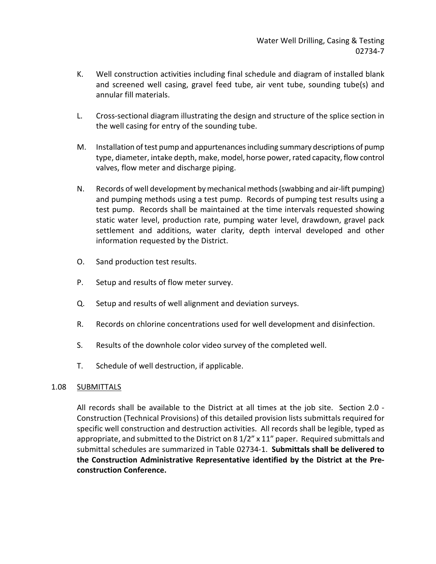- K. Well construction activities including final schedule and diagram of installed blank and screened well casing, gravel feed tube, air vent tube, sounding tube(s) and annular fill materials.
- L. Cross-sectional diagram illustrating the design and structure of the splice section in the well casing for entry of the sounding tube.
- M. Installation of test pump and appurtenances including summary descriptions of pump type, diameter, intake depth, make, model, horse power, rated capacity, flow control valves, flow meter and discharge piping.
- N. Records of well development by mechanical methods (swabbing and air-lift pumping) and pumping methods using a test pump. Records of pumping test results using a test pump. Records shall be maintained at the time intervals requested showing static water level, production rate, pumping water level, drawdown, gravel pack settlement and additions, water clarity, depth interval developed and other information requested by the District.
- O. Sand production test results.
- P. Setup and results of flow meter survey.
- Q. Setup and results of well alignment and deviation surveys.
- R. Records on chlorine concentrations used for well development and disinfection.
- S. Results of the downhole color video survey of the completed well.
- T. Schedule of well destruction, if applicable.

# 1.08 SUBMITTALS

All records shall be available to the District at all times at the job site. Section 2.0 - Construction (Technical Provisions) of this detailed provision lists submittals required for specific well construction and destruction activities. All records shall be legible, typed as appropriate, and submitted to the District on  $8\frac{1}{2}$  x  $11$ " paper. Required submittals and submittal schedules are summarized in Table 02734-1. **Submittals shall be delivered to the Construction Administrative Representative identified by the District at the Preconstruction Conference.**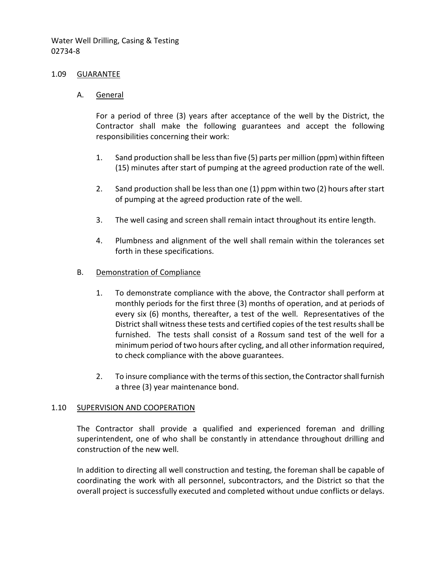#### 1.09 GUARANTEE

A. General

For a period of three (3) years after acceptance of the well by the District, the Contractor shall make the following guarantees and accept the following responsibilities concerning their work:

- 1. Sand production shall be less than five (5) parts per million (ppm) within fifteen (15) minutes after start of pumping at the agreed production rate of the well.
- 2. Sand production shall be less than one (1) ppm within two (2) hours after start of pumping at the agreed production rate of the well.
- 3. The well casing and screen shall remain intact throughout its entire length.
- 4. Plumbness and alignment of the well shall remain within the tolerances set forth in these specifications.

#### B. Demonstration of Compliance

- 1. To demonstrate compliance with the above, the Contractor shall perform at monthly periods for the first three (3) months of operation, and at periods of every six (6) months, thereafter, a test of the well. Representatives of the District shall witness these tests and certified copies of the test results shall be furnished. The tests shall consist of a Rossum sand test of the well for a minimum period of two hours after cycling, and all other information required, to check compliance with the above guarantees.
- 2. To insure compliance with the terms of this section, the Contractor shall furnish a three (3) year maintenance bond.

### 1.10 SUPERVISION AND COOPERATION

The Contractor shall provide a qualified and experienced foreman and drilling superintendent, one of who shall be constantly in attendance throughout drilling and construction of the new well.

In addition to directing all well construction and testing, the foreman shall be capable of coordinating the work with all personnel, subcontractors, and the District so that the overall project is successfully executed and completed without undue conflicts or delays.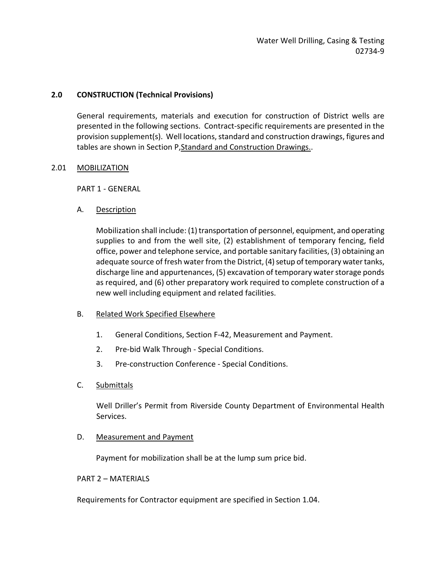## **2.0 CONSTRUCTION (Technical Provisions)**

General requirements, materials and execution for construction of District wells are presented in the following sections. Contract-specific requirements are presented in the provision supplement(s). Well locations, standard and construction drawings, figures and tables are shown in Section P,Standard and Construction Drawings..

### 2.01 MOBILIZATION

PART 1 - GENERAL

A. Description

Mobilization shall include: (1) transportation of personnel, equipment, and operating supplies to and from the well site, (2) establishment of temporary fencing, field office, power and telephone service, and portable sanitary facilities, (3) obtaining an adequate source of fresh water from the District, (4) setup of temporary water tanks, discharge line and appurtenances, (5) excavation of temporary water storage ponds as required, and (6) other preparatory work required to complete construction of a new well including equipment and related facilities.

- B. Related Work Specified Elsewhere
	- 1. General Conditions, Section F-42, Measurement and Payment.
	- 2. Pre-bid Walk Through Special Conditions.
	- 3. Pre-construction Conference Special Conditions.
- C. Submittals

Well Driller's Permit from Riverside County Department of Environmental Health Services.

D. Measurement and Payment

Payment for mobilization shall be at the lump sum price bid.

### PART 2 – MATERIALS

Requirements for Contractor equipment are specified in Section 1.04.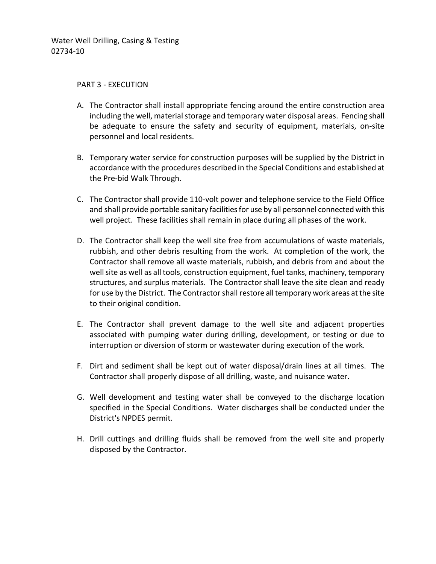### PART 3 - EXECUTION

- A. The Contractor shall install appropriate fencing around the entire construction area including the well, material storage and temporary water disposal areas. Fencing shall be adequate to ensure the safety and security of equipment, materials, on-site personnel and local residents.
- B. Temporary water service for construction purposes will be supplied by the District in accordance with the procedures described in the Special Conditions and established at the Pre-bid Walk Through.
- C. The Contractor shall provide 110-volt power and telephone service to the Field Office and shall provide portable sanitary facilities for use by all personnel connected with this well project. These facilities shall remain in place during all phases of the work.
- D. The Contractor shall keep the well site free from accumulations of waste materials, rubbish, and other debris resulting from the work. At completion of the work, the Contractor shall remove all waste materials, rubbish, and debris from and about the well site as well as all tools, construction equipment, fuel tanks, machinery, temporary structures, and surplus materials. The Contractor shall leave the site clean and ready for use by the District. The Contractor shall restore all temporary work areas at the site to their original condition.
- E. The Contractor shall prevent damage to the well site and adjacent properties associated with pumping water during drilling, development, or testing or due to interruption or diversion of storm or wastewater during execution of the work.
- F. Dirt and sediment shall be kept out of water disposal/drain lines at all times. The Contractor shall properly dispose of all drilling, waste, and nuisance water.
- G. Well development and testing water shall be conveyed to the discharge location specified in the Special Conditions. Water discharges shall be conducted under the District's NPDES permit.
- H. Drill cuttings and drilling fluids shall be removed from the well site and properly disposed by the Contractor.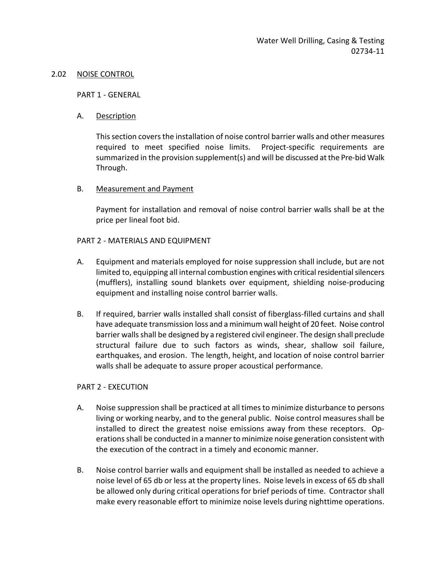#### 2.02 NOISE CONTROL

PART 1 - GENERAL

### A. Description

This section covers the installation of noise control barrier walls and other measures required to meet specified noise limits. Project-specific requirements are summarized in the provision supplement(s) and will be discussed at the Pre-bid Walk Through.

### B. Measurement and Payment

Payment for installation and removal of noise control barrier walls shall be at the price per lineal foot bid.

### PART 2 - MATERIALS AND EQUIPMENT

- A. Equipment and materials employed for noise suppression shall include, but are not limited to, equipping all internal combustion engines with critical residential silencers (mufflers), installing sound blankets over equipment, shielding noise-producing equipment and installing noise control barrier walls.
- B. If required, barrier walls installed shall consist of fiberglass-filled curtains and shall have adequate transmission loss and a minimum wall height of 20 feet. Noise control barrier walls shall be designed by a registered civil engineer. The design shall preclude structural failure due to such factors as winds, shear, shallow soil failure, earthquakes, and erosion. The length, height, and location of noise control barrier walls shall be adequate to assure proper acoustical performance.

### PART 2 - EXECUTION

- A. Noise suppression shall be practiced at all times to minimize disturbance to persons living or working nearby, and to the general public. Noise control measures shall be installed to direct the greatest noise emissions away from these receptors. Operations shall be conducted in a manner to minimize noise generation consistent with the execution of the contract in a timely and economic manner.
- B. Noise control barrier walls and equipment shall be installed as needed to achieve a noise level of 65 db or less at the property lines. Noise levels in excess of 65 db shall be allowed only during critical operations for brief periods of time. Contractor shall make every reasonable effort to minimize noise levels during nighttime operations.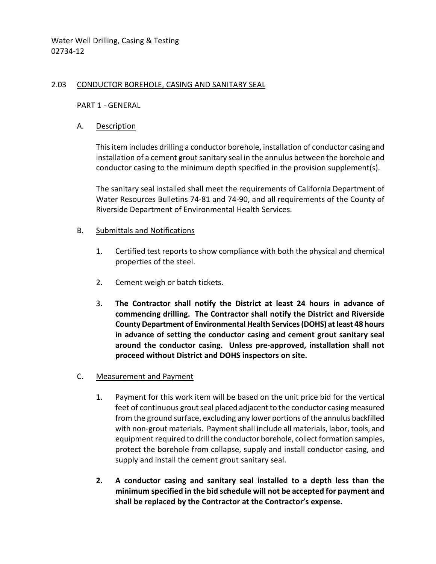### 2.03 CONDUCTOR BOREHOLE, CASING AND SANITARY SEAL

### PART 1 - GENERAL

### A. Description

This item includes drilling a conductor borehole, installation of conductor casing and installation of a cement grout sanitary seal in the annulus between the borehole and conductor casing to the minimum depth specified in the provision supplement(s).

The sanitary seal installed shall meet the requirements of California Department of Water Resources Bulletins 74-81 and 74-90, and all requirements of the County of Riverside Department of Environmental Health Services.

## B. Submittals and Notifications

- 1. Certified test reports to show compliance with both the physical and chemical properties of the steel.
- 2. Cement weigh or batch tickets.
- 3. **The Contractor shall notify the District at least 24 hours in advance of commencing drilling. The Contractor shall notify the District and Riverside County Department of Environmental Health Services (DOHS) at least 48 hours in advance of setting the conductor casing and cement grout sanitary seal around the conductor casing. Unless pre-approved, installation shall not proceed without District and DOHS inspectors on site.**
- C. Measurement and Payment
	- 1. Payment for this work item will be based on the unit price bid for the vertical feet of continuous grout seal placed adjacent to the conductor casing measured from the ground surface, excluding any lower portions of the annulus backfilled with non-grout materials. Payment shall include all materials, labor, tools, and equipment required to drill the conductor borehole, collect formation samples, protect the borehole from collapse, supply and install conductor casing, and supply and install the cement grout sanitary seal.
	- **2. A conductor casing and sanitary seal installed to a depth less than the minimum specified in the bid schedule will not be accepted for payment and shall be replaced by the Contractor at the Contractor's expense.**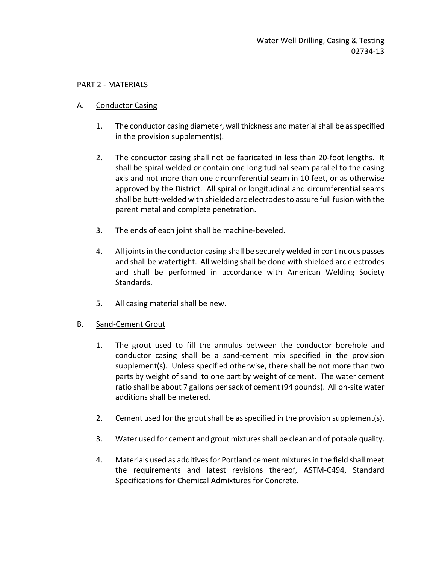## PART 2 - MATERIALS

## A. Conductor Casing

- 1. The conductor casing diameter, wall thickness and material shall be as specified in the provision supplement(s).
- 2. The conductor casing shall not be fabricated in less than 20-foot lengths. It shall be spiral welded or contain one longitudinal seam parallel to the casing axis and not more than one circumferential seam in 10 feet, or as otherwise approved by the District. All spiral or longitudinal and circumferential seams shall be butt-welded with shielded arc electrodes to assure full fusion with the parent metal and complete penetration.
- 3. The ends of each joint shall be machine-beveled.
- 4. All joints in the conductor casing shall be securely welded in continuous passes and shall be watertight. All welding shall be done with shielded arc electrodes and shall be performed in accordance with American Welding Society Standards.
- 5. All casing material shall be new.

### B. Sand-Cement Grout

- 1. The grout used to fill the annulus between the conductor borehole and conductor casing shall be a sand-cement mix specified in the provision supplement(s). Unless specified otherwise, there shall be not more than two parts by weight of sand to one part by weight of cement. The water cement ratio shall be about 7 gallons per sack of cement (94 pounds). All on-site water additions shall be metered.
- 2. Cement used for the grout shall be as specified in the provision supplement(s).
- 3. Water used for cement and grout mixtures shall be clean and of potable quality.
- 4. Materials used as additives for Portland cement mixtures in the field shall meet the requirements and latest revisions thereof, ASTM-C494, Standard Specifications for Chemical Admixtures for Concrete.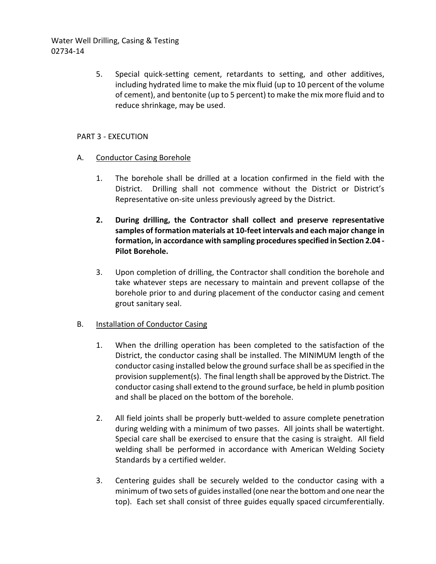> 5. Special quick-setting cement, retardants to setting, and other additives, including hydrated lime to make the mix fluid (up to 10 percent of the volume of cement), and bentonite (up to 5 percent) to make the mix more fluid and to reduce shrinkage, may be used.

## PART 3 - EXECUTION

- A. Conductor Casing Borehole
	- 1. The borehole shall be drilled at a location confirmed in the field with the District. Drilling shall not commence without the District or District's Representative on-site unless previously agreed by the District.
	- **2. During drilling, the Contractor shall collect and preserve representative samples of formation materials at 10-feet intervals and each major change in formation, in accordance with sampling procedures specified in Section 2.04 - Pilot Borehole.**
	- 3. Upon completion of drilling, the Contractor shall condition the borehole and take whatever steps are necessary to maintain and prevent collapse of the borehole prior to and during placement of the conductor casing and cement grout sanitary seal.

# B. Installation of Conductor Casing

- 1. When the drilling operation has been completed to the satisfaction of the District, the conductor casing shall be installed. The MINIMUM length of the conductor casing installed below the ground surface shall be as specified in the provision supplement(s). The final length shall be approved by the District. The conductor casing shall extend to the ground surface, be held in plumb position and shall be placed on the bottom of the borehole.
- 2. All field joints shall be properly butt-welded to assure complete penetration during welding with a minimum of two passes. All joints shall be watertight. Special care shall be exercised to ensure that the casing is straight. All field welding shall be performed in accordance with American Welding Society Standards by a certified welder.
- 3. Centering guides shall be securely welded to the conductor casing with a minimum of two sets of guides installed (one near the bottom and one near the top). Each set shall consist of three guides equally spaced circumferentially.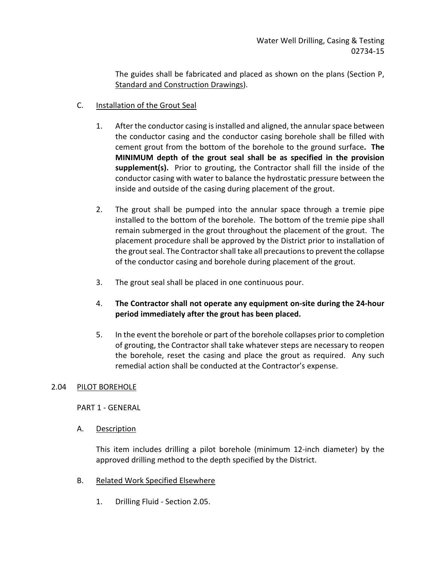The guides shall be fabricated and placed as shown on the plans (Section P, Standard and Construction Drawings).

- C. Installation of the Grout Seal
	- 1. After the conductor casing is installed and aligned, the annular space between the conductor casing and the conductor casing borehole shall be filled with cement grout from the bottom of the borehole to the ground surface**. The MINIMUM depth of the grout seal shall be as specified in the provision supplement(s).** Prior to grouting, the Contractor shall fill the inside of the conductor casing with water to balance the hydrostatic pressure between the inside and outside of the casing during placement of the grout.
	- 2. The grout shall be pumped into the annular space through a tremie pipe installed to the bottom of the borehole. The bottom of the tremie pipe shall remain submerged in the grout throughout the placement of the grout. The placement procedure shall be approved by the District prior to installation of the grout seal. The Contractor shall take all precautions to prevent the collapse of the conductor casing and borehole during placement of the grout.
	- 3. The grout seal shall be placed in one continuous pour.
	- 4. **The Contractor shall not operate any equipment on-site during the 24-hour period immediately after the grout has been placed.**
	- 5. In the event the borehole or part of the borehole collapses prior to completion of grouting, the Contractor shall take whatever steps are necessary to reopen the borehole, reset the casing and place the grout as required. Any such remedial action shall be conducted at the Contractor's expense.

# 2.04 PILOT BOREHOLE

PART 1 - GENERAL

A. Description

This item includes drilling a pilot borehole (minimum 12-inch diameter) by the approved drilling method to the depth specified by the District.

- B. Related Work Specified Elsewhere
	- 1. Drilling Fluid Section 2.05.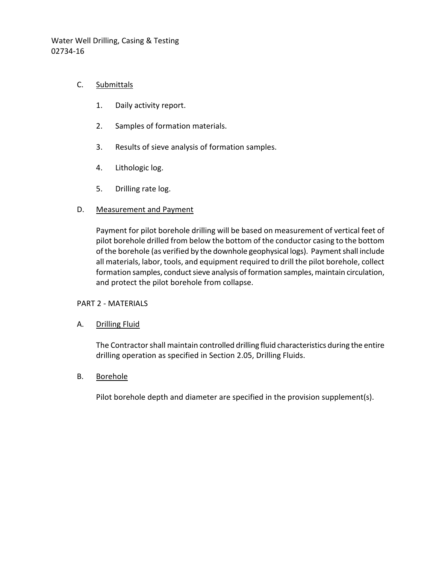## C. Submittals

- 1. Daily activity report.
- 2. Samples of formation materials.
- 3. Results of sieve analysis of formation samples.
- 4. Lithologic log.
- 5. Drilling rate log.

### D. Measurement and Payment

Payment for pilot borehole drilling will be based on measurement of vertical feet of pilot borehole drilled from below the bottom of the conductor casing to the bottom of the borehole (as verified by the downhole geophysical logs). Payment shall include all materials, labor, tools, and equipment required to drill the pilot borehole, collect formation samples, conduct sieve analysis of formation samples, maintain circulation, and protect the pilot borehole from collapse.

### PART 2 - MATERIALS

### A. Drilling Fluid

The Contractor shall maintain controlled drilling fluid characteristics during the entire drilling operation as specified in Section 2.05, Drilling Fluids.

### B. Borehole

Pilot borehole depth and diameter are specified in the provision supplement(s).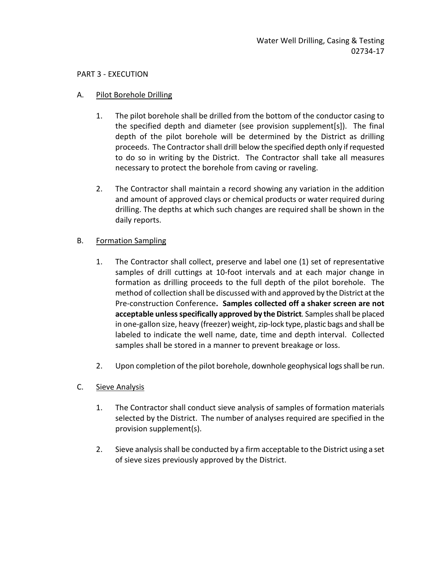### PART 3 - EXECUTION

## A. Pilot Borehole Drilling

- 1. The pilot borehole shall be drilled from the bottom of the conductor casing to the specified depth and diameter (see provision supplement[s]). The final depth of the pilot borehole will be determined by the District as drilling proceeds. The Contractor shall drill below the specified depth only if requested to do so in writing by the District. The Contractor shall take all measures necessary to protect the borehole from caving or raveling.
- 2. The Contractor shall maintain a record showing any variation in the addition and amount of approved clays or chemical products or water required during drilling. The depths at which such changes are required shall be shown in the daily reports.

# B. Formation Sampling

- 1. The Contractor shall collect, preserve and label one (1) set of representative samples of drill cuttings at 10-foot intervals and at each major change in formation as drilling proceeds to the full depth of the pilot borehole. The method of collection shall be discussed with and approved by the District at the Pre-construction Conference**. Samples collected off a shaker screen are not acceptable unless specifically approved by the District***.* Samples shall be placed in one-gallon size, heavy (freezer) weight, zip-lock type, plastic bags and shall be labeled to indicate the well name, date, time and depth interval. Collected samples shall be stored in a manner to prevent breakage or loss.
- 2. Upon completion of the pilot borehole, downhole geophysical logs shall be run.
- C. Sieve Analysis
	- 1. The Contractor shall conduct sieve analysis of samples of formation materials selected by the District. The number of analyses required are specified in the provision supplement(s).
	- 2. Sieve analysis shall be conducted by a firm acceptable to the District using a set of sieve sizes previously approved by the District.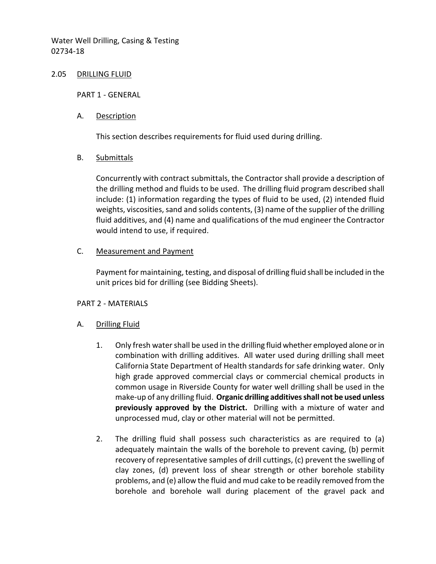#### 2.05 DRILLING FLUID

PART 1 - GENERAL

### A. Description

This section describes requirements for fluid used during drilling.

## B. Submittals

Concurrently with contract submittals, the Contractor shall provide a description of the drilling method and fluids to be used. The drilling fluid program described shall include: (1) information regarding the types of fluid to be used, (2) intended fluid weights, viscosities, sand and solids contents, (3) name of the supplier of the drilling fluid additives, and (4) name and qualifications of the mud engineer the Contractor would intend to use, if required.

## C. Measurement and Payment

Payment for maintaining, testing, and disposal of drilling fluid shall be included in the unit prices bid for drilling (see Bidding Sheets).

# PART 2 - MATERIALS

# A. Drilling Fluid

- 1. Only fresh water shall be used in the drilling fluid whether employed alone or in combination with drilling additives. All water used during drilling shall meet California State Department of Health standards for safe drinking water. Only high grade approved commercial clays or commercial chemical products in common usage in Riverside County for water well drilling shall be used in the make-up of any drilling fluid. **Organic drilling additives shall not be used unless previously approved by the District.**Drilling with a mixture of water and unprocessed mud, clay or other material will not be permitted.
- 2. The drilling fluid shall possess such characteristics as are required to (a) adequately maintain the walls of the borehole to prevent caving, (b) permit recovery of representative samples of drill cuttings, (c) prevent the swelling of clay zones, (d) prevent loss of shear strength or other borehole stability problems, and (e) allow the fluid and mud cake to be readily removed from the borehole and borehole wall during placement of the gravel pack and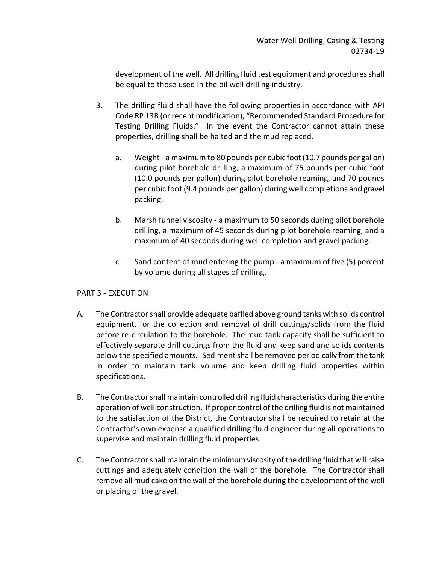development of the well. All drilling fluid test equipment and procedures shall be equal to those used in the oil well drilling industry.

- 3. The drilling fluid shall have the following properties in accordance with API Code RP 13B (or recent modification), "Recommended Standard Procedure for Testing Drilling Fluids." In the event the Contractor cannot attain these properties, drilling shall be halted and the mud replaced.
	- a. Weight a maximum to 80 pounds per cubic foot (10.7 pounds per gallon) during pilot borehole drilling, a maximum of 75 pounds per cubic foot (10.0 pounds per gallon) during pilot borehole reaming, and 70 pounds per cubic foot (9.4 pounds per gallon) during well completions and gravel packing.
	- b. Marsh funnel viscosity a maximum to 50 seconds during pilot borehole drilling, a maximum of 45 seconds during pilot borehole reaming, and a maximum of 40 seconds during well completion and gravel packing.
	- c. Sand content of mud entering the pump a maximum of five (5) percent by volume during all stages of drilling.

# PART 3 - EXECUTION

- A. The Contractor shall provide adequate baffled above ground tanks with solids control equipment, for the collection and removal of drill cuttings/solids from the fluid before re-circulation to the borehole. The mud tank capacity shall be sufficient to effectively separate drill cuttings from the fluid and keep sand and solids contents below the specified amounts. Sediment shall be removed periodically from the tank in order to maintain tank volume and keep drilling fluid properties within specifications.
- B. The Contractor shall maintain controlled drilling fluid characteristics during the entire operation of well construction. If proper control of the drilling fluid is not maintained to the satisfaction of the District, the Contractor shall be required to retain at the Contractor's own expense a qualified drilling fluid engineer during all operations to supervise and maintain drilling fluid properties.
- C. The Contractor shall maintain the minimum viscosity of the drilling fluid that will raise cuttings and adequately condition the wall of the borehole. The Contractor shall remove all mud cake on the wall of the borehole during the development of the well or placing of the gravel.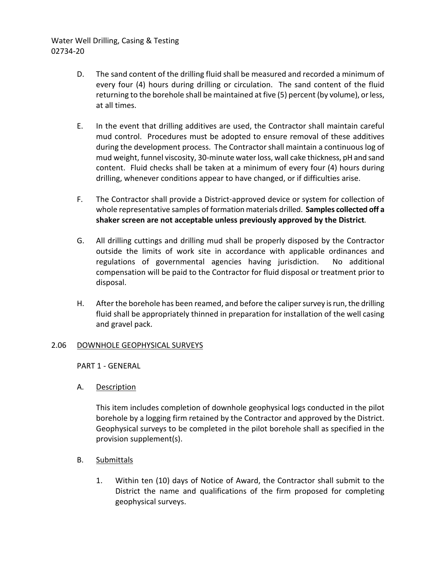- D. The sand content of the drilling fluid shall be measured and recorded a minimum of every four (4) hours during drilling or circulation. The sand content of the fluid returning to the borehole shall be maintained at five (5) percent (by volume), or less, at all times.
- E. In the event that drilling additives are used, the Contractor shall maintain careful mud control. Procedures must be adopted to ensure removal of these additives during the development process. The Contractor shall maintain a continuous log of mud weight, funnel viscosity, 30-minute water loss, wall cake thickness, pH and sand content. Fluid checks shall be taken at a minimum of every four (4) hours during drilling, whenever conditions appear to have changed, or if difficulties arise.
- F. The Contractor shall provide a District-approved device or system for collection of whole representative samples of formation materials drilled. **Samples collected off a shaker screen are not acceptable unless previously approved by the District***.*
- G. All drilling cuttings and drilling mud shall be properly disposed by the Contractor outside the limits of work site in accordance with applicable ordinances and regulations of governmental agencies having jurisdiction. No additional compensation will be paid to the Contractor for fluid disposal or treatment prior to disposal.
- H. After the borehole has been reamed, and before the caliper survey is run, the drilling fluid shall be appropriately thinned in preparation for installation of the well casing and gravel pack.

### 2.06 DOWNHOLE GEOPHYSICAL SURVEYS

PART 1 - GENERAL

A. Description

This item includes completion of downhole geophysical logs conducted in the pilot borehole by a logging firm retained by the Contractor and approved by the District. Geophysical surveys to be completed in the pilot borehole shall as specified in the provision supplement(s).

- B. Submittals
	- 1. Within ten (10) days of Notice of Award, the Contractor shall submit to the District the name and qualifications of the firm proposed for completing geophysical surveys.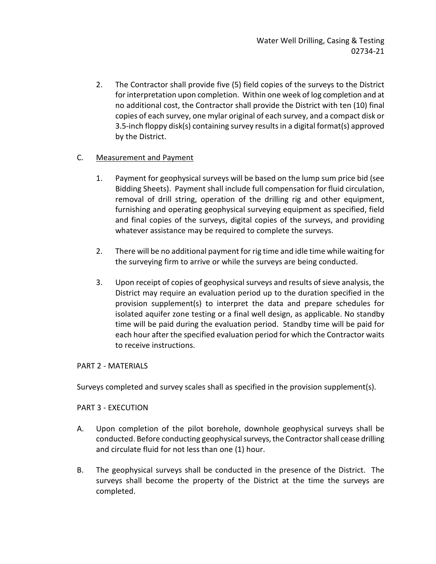2. The Contractor shall provide five (5) field copies of the surveys to the District for interpretation upon completion. Within one week of log completion and at no additional cost, the Contractor shall provide the District with ten (10) final copies of each survey, one mylar original of each survey, and a compact disk or 3.5-inch floppy disk(s) containing survey results in a digital format(s) approved by the District.

# C. Measurement and Payment

- 1. Payment for geophysical surveys will be based on the lump sum price bid (see Bidding Sheets). Payment shall include full compensation for fluid circulation, removal of drill string, operation of the drilling rig and other equipment, furnishing and operating geophysical surveying equipment as specified, field and final copies of the surveys, digital copies of the surveys, and providing whatever assistance may be required to complete the surveys.
- 2. There will be no additional payment for rig time and idle time while waiting for the surveying firm to arrive or while the surveys are being conducted.
- 3. Upon receipt of copies of geophysical surveys and results of sieve analysis, the District may require an evaluation period up to the duration specified in the provision supplement(s) to interpret the data and prepare schedules for isolated aquifer zone testing or a final well design, as applicable. No standby time will be paid during the evaluation period. Standby time will be paid for each hour after the specified evaluation period for which the Contractor waits to receive instructions.

# PART 2 - MATERIALS

Surveys completed and survey scales shall as specified in the provision supplement(s).

# PART 3 - EXECUTION

- A. Upon completion of the pilot borehole, downhole geophysical surveys shall be conducted. Before conducting geophysical surveys, the Contractor shall cease drilling and circulate fluid for not less than one (1) hour.
- B. The geophysical surveys shall be conducted in the presence of the District. The surveys shall become the property of the District at the time the surveys are completed.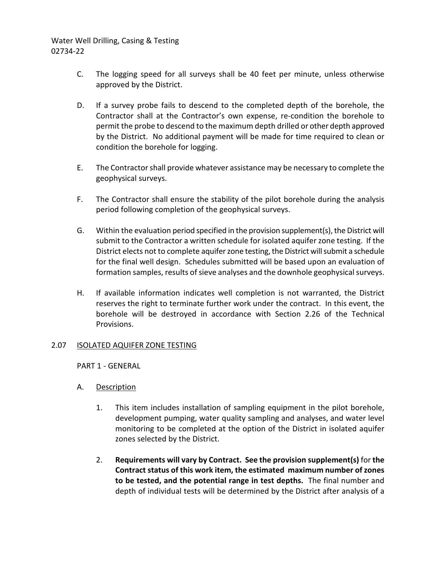- C. The logging speed for all surveys shall be 40 feet per minute, unless otherwise approved by the District.
- D. If a survey probe fails to descend to the completed depth of the borehole, the Contractor shall at the Contractor's own expense, re-condition the borehole to permit the probe to descend to the maximum depth drilled or other depth approved by the District. No additional payment will be made for time required to clean or condition the borehole for logging.
- E. The Contractor shall provide whatever assistance may be necessary to complete the geophysical surveys.
- F. The Contractor shall ensure the stability of the pilot borehole during the analysis period following completion of the geophysical surveys.
- G. Within the evaluation period specified in the provision supplement(s), the District will submit to the Contractor a written schedule for isolated aquifer zone testing. If the District elects not to complete aquifer zone testing, the District will submit a schedule for the final well design. Schedules submitted will be based upon an evaluation of formation samples, results of sieve analyses and the downhole geophysical surveys.
- H. If available information indicates well completion is not warranted, the District reserves the right to terminate further work under the contract. In this event, the borehole will be destroyed in accordance with Section 2.26 of the Technical Provisions.

### 2.07 ISOLATED AQUIFER ZONE TESTING

PART 1 - GENERAL

- A. Description
	- 1. This item includes installation of sampling equipment in the pilot borehole, development pumping, water quality sampling and analyses, and water level monitoring to be completed at the option of the District in isolated aquifer zones selected by the District.
	- 2. **Requirements will vary by Contract. See the provision supplement(s)** for **the Contract status of this work item, the estimated maximum number of zones to be tested, and the potential range in test depths.** The final number and depth of individual tests will be determined by the District after analysis of a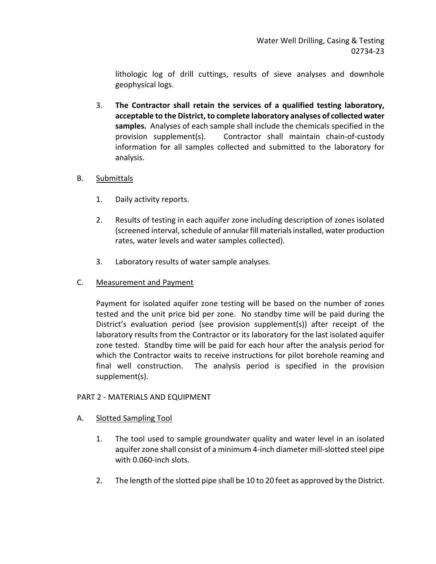lithologic log of drill cuttings, results of sieve analyses and downhole geophysical logs.

3. **The Contractor shall retain the services of a qualified testing laboratory, acceptable to the District, to complete laboratory analyses of collected water samples.** Analyses of each sample shall include the chemicals specified in the provision supplement(s). Contractor shall maintain chain-of-custody information for all samples collected and submitted to the laboratory for analysis.

# B. Submittals

- 1. Daily activity reports.
- 2. Results of testing in each aquifer zone including description of zones isolated (screened interval, schedule of annular fill materials installed, water production rates, water levels and water samples collected).
- 3. Laboratory results of water sample analyses.
- C. Measurement and Payment

Payment for isolated aquifer zone testing will be based on the number of zones tested and the unit price bid per zone. No standby time will be paid during the District's evaluation period (see provision supplement(s)) after receipt of the laboratory results from the Contractor or its laboratory for the last isolated aquifer zone tested. Standby time will be paid for each hour after the analysis period for which the Contractor waits to receive instructions for pilot borehole reaming and final well construction. The analysis period is specified in the provision supplement(s).

# PART 2 - MATERIALS AND EQUIPMENT

- A. Slotted Sampling Tool
	- 1. The tool used to sample groundwater quality and water level in an isolated aquifer zone shall consist of a minimum 4-inch diameter mill-slotted steel pipe with 0.060-inch slots.
	- 2. The length of the slotted pipe shall be 10 to 20 feet as approved by the District.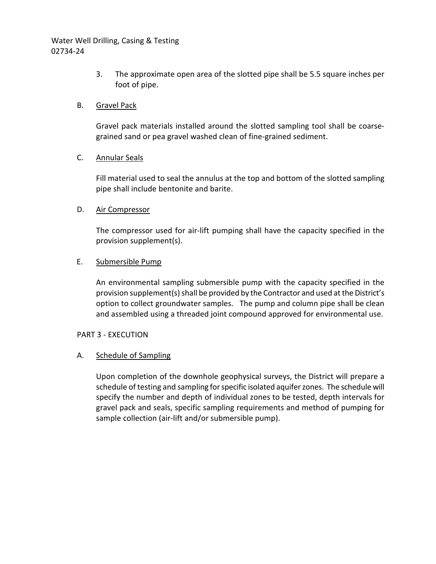> 3. The approximate open area of the slotted pipe shall be 5.5 square inches per foot of pipe.

## B. Gravel Pack

Gravel pack materials installed around the slotted sampling tool shall be coarsegrained sand or pea gravel washed clean of fine-grained sediment.

### C. Annular Seals

Fill material used to seal the annulus at the top and bottom of the slotted sampling pipe shall include bentonite and barite.

## D. Air Compressor

The compressor used for air-lift pumping shall have the capacity specified in the provision supplement(s).

## E. Submersible Pump

An environmental sampling submersible pump with the capacity specified in the provision supplement(s) shall be provided by the Contractor and used at the District's option to collect groundwater samples. The pump and column pipe shall be clean and assembled using a threaded joint compound approved for environmental use.

### PART 3 - EXECUTION

# A. Schedule of Sampling

Upon completion of the downhole geophysical surveys, the District will prepare a schedule of testing and sampling for specific isolated aquifer zones. The schedule will specify the number and depth of individual zones to be tested, depth intervals for gravel pack and seals, specific sampling requirements and method of pumping for sample collection (air-lift and/or submersible pump).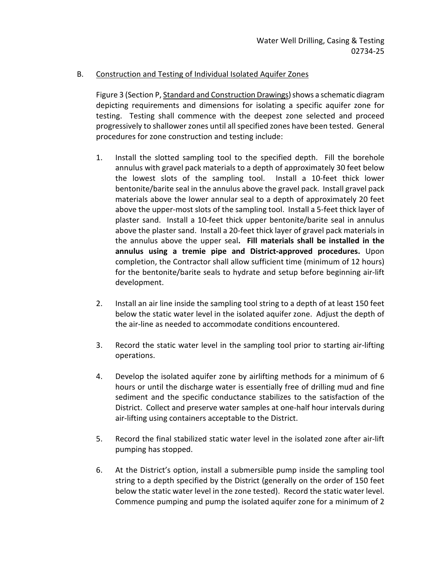## B. Construction and Testing of Individual Isolated Aquifer Zones

Figure 3 (Section P, Standard and Construction Drawings) shows a schematic diagram depicting requirements and dimensions for isolating a specific aquifer zone for testing. Testing shall commence with the deepest zone selected and proceed progressively to shallower zones until all specified zones have been tested. General procedures for zone construction and testing include:

- 1. Install the slotted sampling tool to the specified depth. Fill the borehole annulus with gravel pack materials to a depth of approximately 30 feet below the lowest slots of the sampling tool. Install a 10-feet thick lower bentonite/barite seal in the annulus above the gravel pack. Install gravel pack materials above the lower annular seal to a depth of approximately 20 feet above the upper-most slots of the sampling tool. Install a 5-feet thick layer of plaster sand. Install a 10-feet thick upper bentonite/barite seal in annulus above the plaster sand. Install a 20-feet thick layer of gravel pack materials in the annulus above the upper seal**. Fill materials shall be installed in the annulus using a tremie pipe and District-approved procedures.** Upon completion, the Contractor shall allow sufficient time (minimum of 12 hours) for the bentonite/barite seals to hydrate and setup before beginning air-lift development.
- 2. Install an air line inside the sampling tool string to a depth of at least 150 feet below the static water level in the isolated aquifer zone. Adjust the depth of the air-line as needed to accommodate conditions encountered.
- 3. Record the static water level in the sampling tool prior to starting air-lifting operations.
- 4. Develop the isolated aquifer zone by airlifting methods for a minimum of 6 hours or until the discharge water is essentially free of drilling mud and fine sediment and the specific conductance stabilizes to the satisfaction of the District. Collect and preserve water samples at one-half hour intervals during air-lifting using containers acceptable to the District.
- 5. Record the final stabilized static water level in the isolated zone after air-lift pumping has stopped.
- 6. At the District's option, install a submersible pump inside the sampling tool string to a depth specified by the District (generally on the order of 150 feet below the static water level in the zone tested). Record the static water level. Commence pumping and pump the isolated aquifer zone for a minimum of 2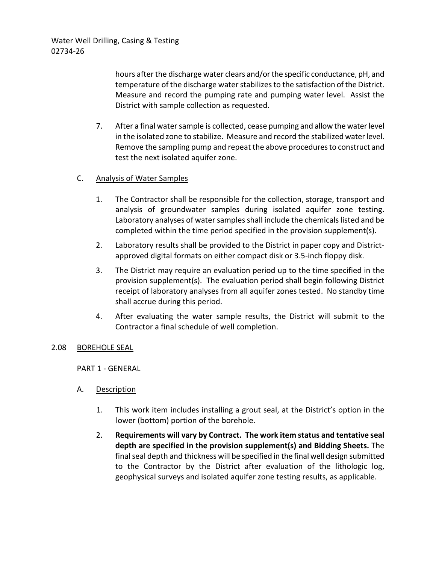hours after the discharge water clears and/or the specific conductance, pH, and temperature of the discharge water stabilizes to the satisfaction of the District. Measure and record the pumping rate and pumping water level. Assist the District with sample collection as requested.

7. After a final water sample is collected, cease pumping and allow the water level in the isolated zone to stabilize. Measure and record the stabilized water level. Remove the sampling pump and repeat the above procedures to construct and test the next isolated aquifer zone.

# C. Analysis of Water Samples

- 1. The Contractor shall be responsible for the collection, storage, transport and analysis of groundwater samples during isolated aquifer zone testing. Laboratory analyses of water samples shall include the chemicals listed and be completed within the time period specified in the provision supplement(s).
- 2. Laboratory results shall be provided to the District in paper copy and Districtapproved digital formats on either compact disk or 3.5-inch floppy disk.
- 3. The District may require an evaluation period up to the time specified in the provision supplement(s). The evaluation period shall begin following District receipt of laboratory analyses from all aquifer zones tested. No standby time shall accrue during this period.
- 4. After evaluating the water sample results, the District will submit to the Contractor a final schedule of well completion.

### 2.08 BOREHOLE SEAL

### PART 1 - GENERAL

# A. Description

- 1. This work item includes installing a grout seal, at the District's option in the lower (bottom) portion of the borehole.
- 2. **Requirements will vary by Contract. The work item status and tentative seal depth are specified in the provision supplement(s) and Bidding Sheets.** The final seal depth and thickness will be specified in the final well design submitted to the Contractor by the District after evaluation of the lithologic log, geophysical surveys and isolated aquifer zone testing results, as applicable.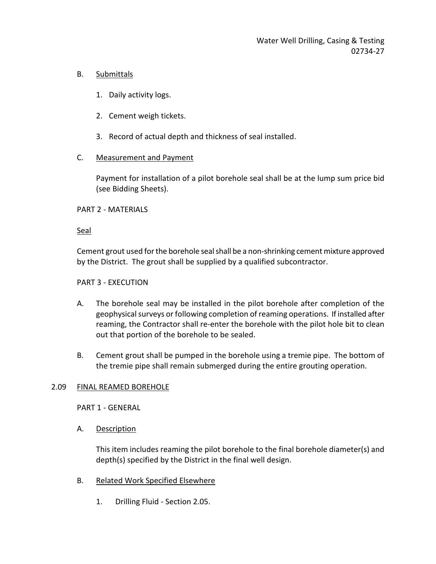# B. Submittals

- 1. Daily activity logs.
- 2. Cement weigh tickets.
- 3. Record of actual depth and thickness of seal installed.

# C. Measurement and Payment

Payment for installation of a pilot borehole seal shall be at the lump sum price bid (see Bidding Sheets).

## PART 2 - MATERIALS

## Seal

Cement grout used for the borehole seal shall be a non-shrinking cement mixture approved by the District. The grout shall be supplied by a qualified subcontractor.

### PART 3 - EXECUTION

- A. The borehole seal may be installed in the pilot borehole after completion of the geophysical surveys or following completion of reaming operations. If installed after reaming, the Contractor shall re-enter the borehole with the pilot hole bit to clean out that portion of the borehole to be sealed.
- B. Cement grout shall be pumped in the borehole using a tremie pipe. The bottom of the tremie pipe shall remain submerged during the entire grouting operation.

### 2.09 FINAL REAMED BOREHOLE

PART 1 - GENERAL

A. Description

This item includes reaming the pilot borehole to the final borehole diameter(s) and depth(s) specified by the District in the final well design.

- B. Related Work Specified Elsewhere
	- 1. Drilling Fluid Section 2.05.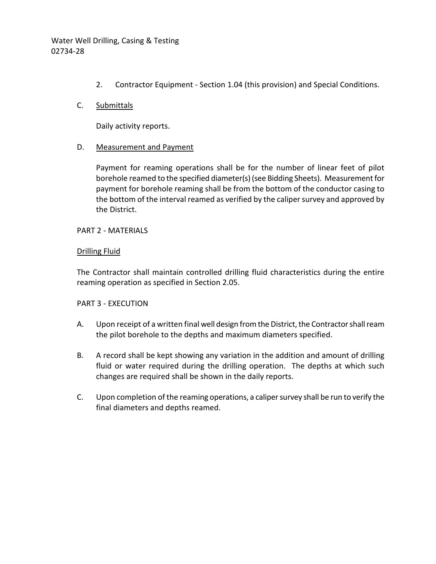2. Contractor Equipment - Section 1.04 (this provision) and Special Conditions.

## C. Submittals

Daily activity reports.

## D. Measurement and Payment

Payment for reaming operations shall be for the number of linear feet of pilot borehole reamed to the specified diameter(s) (see Bidding Sheets). Measurement for payment for borehole reaming shall be from the bottom of the conductor casing to the bottom of the interval reamed as verified by the caliper survey and approved by the District.

PART 2 - MATERIALS

## Drilling Fluid

The Contractor shall maintain controlled drilling fluid characteristics during the entire reaming operation as specified in Section 2.05.

### PART 3 - EXECUTION

- A. Upon receipt of a written final well design from the District, the Contractor shall ream the pilot borehole to the depths and maximum diameters specified.
- B. A record shall be kept showing any variation in the addition and amount of drilling fluid or water required during the drilling operation. The depths at which such changes are required shall be shown in the daily reports.
- C. Upon completion of the reaming operations, a caliper survey shall be run to verify the final diameters and depths reamed.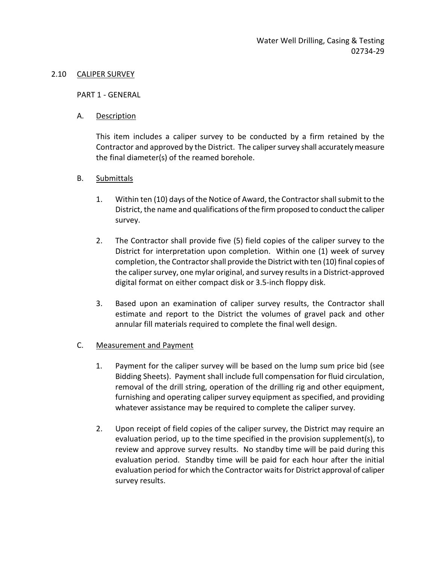#### 2.10 CALIPER SURVEY

PART 1 - GENERAL

A. Description

This item includes a caliper survey to be conducted by a firm retained by the Contractor and approved by the District. The caliper survey shall accurately measure the final diameter(s) of the reamed borehole.

- B. Submittals
	- 1. Within ten (10) days of the Notice of Award, the Contractor shall submit to the District, the name and qualifications of the firm proposed to conduct the caliper survey.
	- 2. The Contractor shall provide five (5) field copies of the caliper survey to the District for interpretation upon completion. Within one (1) week of survey completion, the Contractor shall provide the District with ten (10) final copies of the caliper survey, one mylar original, and survey results in a District-approved digital format on either compact disk or 3.5-inch floppy disk.
	- 3. Based upon an examination of caliper survey results, the Contractor shall estimate and report to the District the volumes of gravel pack and other annular fill materials required to complete the final well design.

### C. Measurement and Payment

- 1. Payment for the caliper survey will be based on the lump sum price bid (see Bidding Sheets). Payment shall include full compensation for fluid circulation, removal of the drill string, operation of the drilling rig and other equipment, furnishing and operating caliper survey equipment as specified, and providing whatever assistance may be required to complete the caliper survey.
- 2. Upon receipt of field copies of the caliper survey, the District may require an evaluation period, up to the time specified in the provision supplement(s), to review and approve survey results. No standby time will be paid during this evaluation period. Standby time will be paid for each hour after the initial evaluation period for which the Contractor waits for District approval of caliper survey results.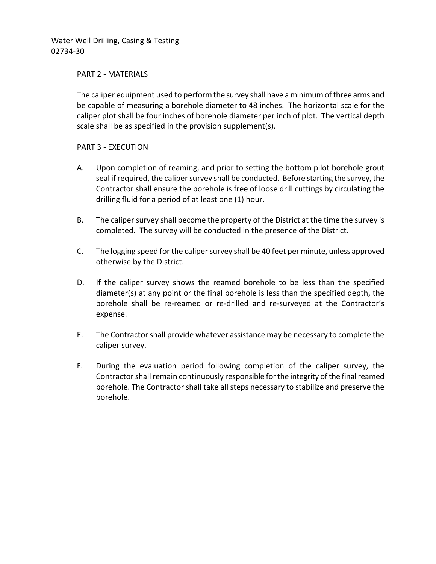#### PART 2 - MATERIALS

The caliper equipment used to perform the survey shall have a minimum of three arms and be capable of measuring a borehole diameter to 48 inches. The horizontal scale for the caliper plot shall be four inches of borehole diameter per inch of plot. The vertical depth scale shall be as specified in the provision supplement(s).

### PART 3 - EXECUTION

- A. Upon completion of reaming, and prior to setting the bottom pilot borehole grout seal if required, the caliper survey shall be conducted. Before starting the survey, the Contractor shall ensure the borehole is free of loose drill cuttings by circulating the drilling fluid for a period of at least one (1) hour.
- B. The caliper survey shall become the property of the District at the time the survey is completed. The survey will be conducted in the presence of the District.
- C. The logging speed for the caliper survey shall be 40 feet per minute, unless approved otherwise by the District.
- D. If the caliper survey shows the reamed borehole to be less than the specified diameter(s) at any point or the final borehole is less than the specified depth, the borehole shall be re-reamed or re-drilled and re-surveyed at the Contractor's expense.
- E. The Contractor shall provide whatever assistance may be necessary to complete the caliper survey.
- F. During the evaluation period following completion of the caliper survey, the Contractor shall remain continuously responsible for the integrity of the final reamed borehole. The Contractor shall take all steps necessary to stabilize and preserve the borehole.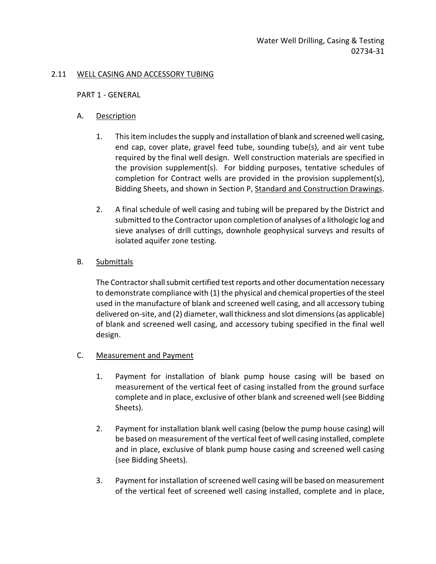### 2.11 WELL CASING AND ACCESSORY TUBING

#### PART 1 - GENERAL

## A. Description

- 1. This item includes the supply and installation of blank and screened well casing, end cap, cover plate, gravel feed tube, sounding tube(s), and air vent tube required by the final well design. Well construction materials are specified in the provision supplement(s). For bidding purposes, tentative schedules of completion for Contract wells are provided in the provision supplement(s), Bidding Sheets, and shown in Section P, Standard and Construction Drawings.
- 2. A final schedule of well casing and tubing will be prepared by the District and submitted to the Contractor upon completion of analyses of a lithologic log and sieve analyses of drill cuttings, downhole geophysical surveys and results of isolated aquifer zone testing.

## B. Submittals

The Contractor shall submit certified test reports and other documentation necessary to demonstrate compliance with (1) the physical and chemical properties of the steel used in the manufacture of blank and screened well casing, and all accessory tubing delivered on-site, and (2) diameter, wall thickness and slot dimensions (as applicable) of blank and screened well casing, and accessory tubing specified in the final well design.

### C. Measurement and Payment

- 1. Payment for installation of blank pump house casing will be based on measurement of the vertical feet of casing installed from the ground surface complete and in place, exclusive of other blank and screened well (see Bidding Sheets).
- 2. Payment for installation blank well casing (below the pump house casing) will be based on measurement of the vertical feet of well casing installed, complete and in place, exclusive of blank pump house casing and screened well casing (see Bidding Sheets).
- 3. Payment for installation of screened well casing will be based on measurement of the vertical feet of screened well casing installed, complete and in place,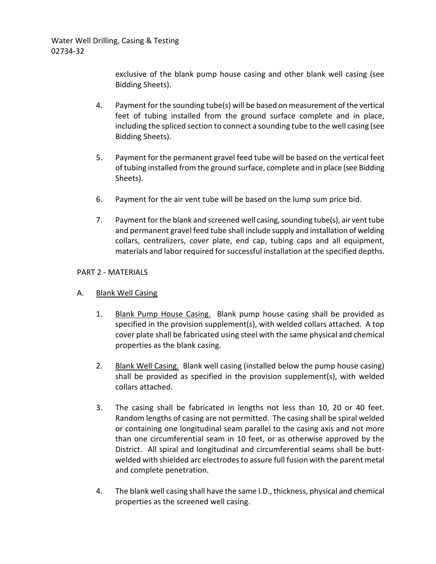exclusive of the blank pump house casing and other blank well casing (see Bidding Sheets).

- 4. Payment for the sounding tube(s) will be based on measurement of the vertical feet of tubing installed from the ground surface complete and in place, including the spliced section to connect a sounding tube to the well casing (see Bidding Sheets).
- 5. Payment for the permanent gravel feed tube will be based on the vertical feet of tubing installed from the ground surface, complete and in place (see Bidding Sheets).
- 6. Payment for the air vent tube will be based on the lump sum price bid.
- 7. Payment for the blank and screened well casing, sounding tube(s), air vent tube and permanent gravel feed tube shall include supply and installation of welding collars, centralizers, cover plate, end cap, tubing caps and all equipment, materials and labor required for successful installation at the specified depths.

## PART 2 - MATERIALS

# A. Blank Well Casing

- 1. Blank Pump House Casing. Blank pump house casing shall be provided as specified in the provision supplement(s), with welded collars attached. A top cover plate shall be fabricated using steel with the same physical and chemical properties as the blank casing.
- 2. Blank Well Casing. Blank well casing (installed below the pump house casing) shall be provided as specified in the provision supplement(s), with welded collars attached.
- 3. The casing shall be fabricated in lengths not less than 10, 20 or 40 feet. Random lengths of casing are not permitted. The casing shall be spiral welded or containing one longitudinal seam parallel to the casing axis and not more than one circumferential seam in 10 feet, or as otherwise approved by the District. All spiral and longitudinal and circumferential seams shall be buttwelded with shielded arc electrodes to assure full fusion with the parent metal and complete penetration.
- 4. The blank well casing shall have the same I.D., thickness, physical and chemical properties as the screened well casing.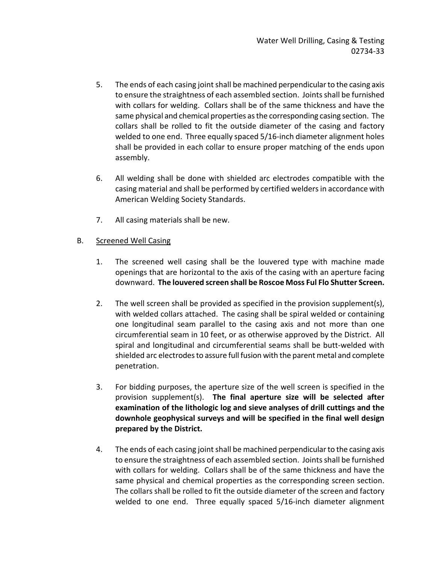- 5. The ends of each casing joint shall be machined perpendicular to the casing axis to ensure the straightness of each assembled section. Joints shall be furnished with collars for welding. Collars shall be of the same thickness and have the same physical and chemical properties as the corresponding casing section. The collars shall be rolled to fit the outside diameter of the casing and factory welded to one end. Three equally spaced 5/16-inch diameter alignment holes shall be provided in each collar to ensure proper matching of the ends upon assembly.
- 6. All welding shall be done with shielded arc electrodes compatible with the casing material and shall be performed by certified welders in accordance with American Welding Society Standards.
- 7. All casing materials shall be new.

# B. Screened Well Casing

- 1. The screened well casing shall be the louvered type with machine made openings that are horizontal to the axis of the casing with an aperture facing downward. **The louvered screen shall be Roscoe Moss Ful Flo Shutter Screen.**
- 2. The well screen shall be provided as specified in the provision supplement(s), with welded collars attached. The casing shall be spiral welded or containing one longitudinal seam parallel to the casing axis and not more than one circumferential seam in 10 feet, or as otherwise approved by the District. All spiral and longitudinal and circumferential seams shall be butt-welded with shielded arc electrodes to assure full fusion with the parent metal and complete penetration.
- 3. For bidding purposes, the aperture size of the well screen is specified in the provision supplement(s). **The final aperture size will be selected after examination of the lithologic log and sieve analyses of drill cuttings and the downhole geophysical surveys and will be specified in the final well design prepared by the District.**
- 4. The ends of each casing joint shall be machined perpendicular to the casing axis to ensure the straightness of each assembled section. Joints shall be furnished with collars for welding. Collars shall be of the same thickness and have the same physical and chemical properties as the corresponding screen section. The collars shall be rolled to fit the outside diameter of the screen and factory welded to one end. Three equally spaced 5/16-inch diameter alignment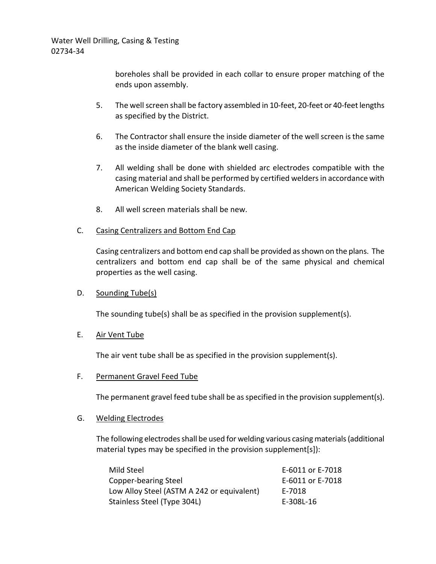boreholes shall be provided in each collar to ensure proper matching of the ends upon assembly.

- 5. The well screen shall be factory assembled in 10-feet, 20-feet or 40-feet lengths as specified by the District.
- 6. The Contractor shall ensure the inside diameter of the well screen is the same as the inside diameter of the blank well casing.
- 7. All welding shall be done with shielded arc electrodes compatible with the casing material and shall be performed by certified welders in accordance with American Welding Society Standards.
- 8. All well screen materials shall be new.

## C. Casing Centralizers and Bottom End Cap

Casing centralizers and bottom end cap shall be provided as shown on the plans. The centralizers and bottom end cap shall be of the same physical and chemical properties as the well casing.

### D. Sounding Tube(s)

The sounding tube(s) shall be as specified in the provision supplement(s).

### E. Air Vent Tube

The air vent tube shall be as specified in the provision supplement(s).

### F. Permanent Gravel Feed Tube

The permanent gravel feed tube shall be as specified in the provision supplement(s).

### G. Welding Electrodes

The following electrodes shall be used for welding various casing materials(additional material types may be specified in the provision supplement[s]):

| Mild Steel                                 | E-6011 or E-7018 |
|--------------------------------------------|------------------|
| Copper-bearing Steel                       | E-6011 or E-7018 |
| Low Alloy Steel (ASTM A 242 or equivalent) | E-7018           |
| Stainless Steel (Type 304L)                | E-308L-16        |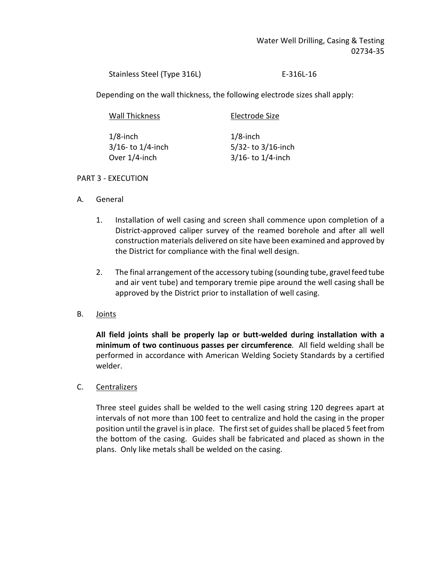Stainless Steel (Type 316L) E-316L-16

Depending on the wall thickness, the following electrode sizes shall apply:

| <b>Wall Thickness</b>                  | Electrode Size                   |
|----------------------------------------|----------------------------------|
| $1/8$ -inch<br>$3/16$ - to $1/4$ -inch | $1/8$ -inch<br>5/32-to 3/16-inch |
| Over 1/4-inch                          | $3/16$ - to $1/4$ -inch          |

## PART 3 - EXECUTION

- A. General
	- 1. Installation of well casing and screen shall commence upon completion of a District-approved caliper survey of the reamed borehole and after all well construction materials delivered on site have been examined and approved by the District for compliance with the final well design.
	- 2. The final arrangement of the accessory tubing (sounding tube, gravel feed tube and air vent tube) and temporary tremie pipe around the well casing shall be approved by the District prior to installation of well casing.
- B. Joints

**All field joints shall be properly lap or butt-welded during installation with a minimum of two continuous passes per circumference***.* All field welding shall be performed in accordance with American Welding Society Standards by a certified welder.

C. Centralizers

Three steel guides shall be welded to the well casing string 120 degrees apart at intervals of not more than 100 feet to centralize and hold the casing in the proper position until the gravel is in place. The first set of guides shall be placed 5 feet from the bottom of the casing. Guides shall be fabricated and placed as shown in the plans. Only like metals shall be welded on the casing.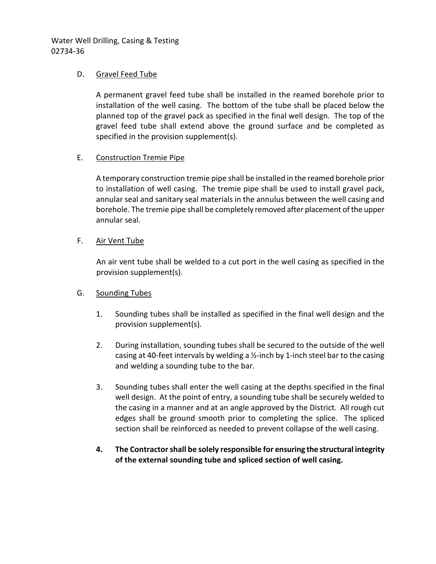## D. Gravel Feed Tube

A permanent gravel feed tube shall be installed in the reamed borehole prior to installation of the well casing. The bottom of the tube shall be placed below the planned top of the gravel pack as specified in the final well design. The top of the gravel feed tube shall extend above the ground surface and be completed as specified in the provision supplement(s).

## E. Construction Tremie Pipe

A temporary construction tremie pipe shall be installed in the reamed borehole prior to installation of well casing. The tremie pipe shall be used to install gravel pack, annular seal and sanitary seal materials in the annulus between the well casing and borehole. The tremie pipe shall be completely removed after placement of the upper annular seal.

# F. Air Vent Tube

An air vent tube shall be welded to a cut port in the well casing as specified in the provision supplement(s).

# G. Sounding Tubes

- 1. Sounding tubes shall be installed as specified in the final well design and the provision supplement(s).
- 2. During installation, sounding tubes shall be secured to the outside of the well casing at 40-feet intervals by welding a ½-inch by 1-inch steel bar to the casing and welding a sounding tube to the bar.
- 3. Sounding tubes shall enter the well casing at the depths specified in the final well design. At the point of entry, a sounding tube shall be securely welded to the casing in a manner and at an angle approved by the District. All rough cut edges shall be ground smooth prior to completing the splice. The spliced section shall be reinforced as needed to prevent collapse of the well casing.
- **4. The Contractor shall be solely responsible for ensuring the structural integrity of the external sounding tube and spliced section of well casing.**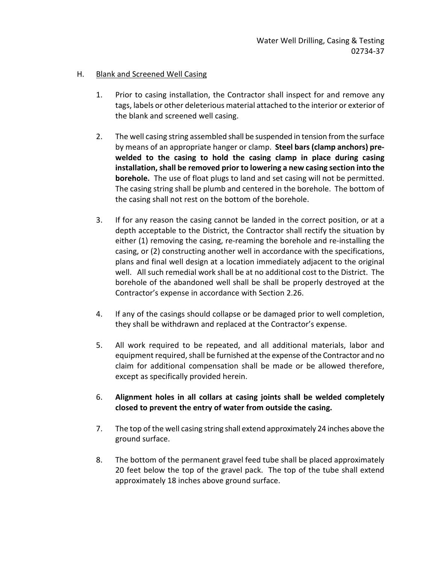## H. Blank and Screened Well Casing

- 1. Prior to casing installation, the Contractor shall inspect for and remove any tags, labels or other deleterious material attached to the interior or exterior of the blank and screened well casing.
- 2. The well casing string assembled shall be suspended in tension from the surface by means of an appropriate hanger or clamp. **Steel bars (clamp anchors) prewelded to the casing to hold the casing clamp in place during casing installation, shall be removed prior to lowering a new casing section into the borehole.** The use of float plugs to land and set casing will not be permitted. The casing string shall be plumb and centered in the borehole. The bottom of the casing shall not rest on the bottom of the borehole.
- 3. If for any reason the casing cannot be landed in the correct position, or at a depth acceptable to the District, the Contractor shall rectify the situation by either (1) removing the casing, re-reaming the borehole and re-installing the casing, or (2) constructing another well in accordance with the specifications, plans and final well design at a location immediately adjacent to the original well. All such remedial work shall be at no additional cost to the District. The borehole of the abandoned well shall be shall be properly destroyed at the Contractor's expense in accordance with Section 2.26.
- 4. If any of the casings should collapse or be damaged prior to well completion, they shall be withdrawn and replaced at the Contractor's expense.
- 5. All work required to be repeated, and all additional materials, labor and equipment required, shall be furnished at the expense of the Contractor and no claim for additional compensation shall be made or be allowed therefore, except as specifically provided herein.
- 6. **Alignment holes in all collars at casing joints shall be welded completely closed to prevent the entry of water from outside the casing.**
- 7. The top of the well casing string shall extend approximately 24 inches above the ground surface.
- 8. The bottom of the permanent gravel feed tube shall be placed approximately 20 feet below the top of the gravel pack. The top of the tube shall extend approximately 18 inches above ground surface.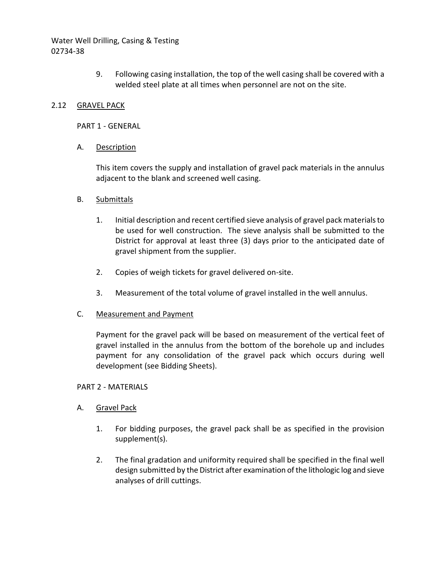> 9. Following casing installation, the top of the well casing shall be covered with a welded steel plate at all times when personnel are not on the site.

## 2.12 GRAVEL PACK

PART 1 - GENERAL

### A. Description

This item covers the supply and installation of gravel pack materials in the annulus adjacent to the blank and screened well casing.

### B. Submittals

- 1. Initial description and recent certified sieve analysis of gravel pack materials to be used for well construction. The sieve analysis shall be submitted to the District for approval at least three (3) days prior to the anticipated date of gravel shipment from the supplier.
- 2. Copies of weigh tickets for gravel delivered on-site.
- 3. Measurement of the total volume of gravel installed in the well annulus.

### C. Measurement and Payment

Payment for the gravel pack will be based on measurement of the vertical feet of gravel installed in the annulus from the bottom of the borehole up and includes payment for any consolidation of the gravel pack which occurs during well development (see Bidding Sheets).

#### PART 2 - MATERIALS

### A. Gravel Pack

- 1. For bidding purposes, the gravel pack shall be as specified in the provision supplement(s).
- 2. The final gradation and uniformity required shall be specified in the final well design submitted by the District after examination of the lithologic log and sieve analyses of drill cuttings.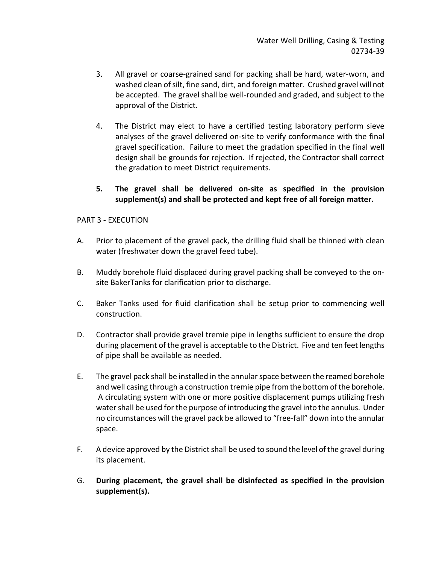- 3. All gravel or coarse-grained sand for packing shall be hard, water-worn, and washed clean of silt, fine sand, dirt, and foreign matter. Crushed gravel will not be accepted. The gravel shall be well-rounded and graded, and subject to the approval of the District.
- 4. The District may elect to have a certified testing laboratory perform sieve analyses of the gravel delivered on-site to verify conformance with the final gravel specification. Failure to meet the gradation specified in the final well design shall be grounds for rejection. If rejected, the Contractor shall correct the gradation to meet District requirements.

# **5. The gravel shall be delivered on-site as specified in the provision supplement(s) and shall be protected and kept free of all foreign matter.**

## PART 3 - EXECUTION

- A. Prior to placement of the gravel pack, the drilling fluid shall be thinned with clean water (freshwater down the gravel feed tube).
- B. Muddy borehole fluid displaced during gravel packing shall be conveyed to the onsite BakerTanks for clarification prior to discharge.
- C. Baker Tanks used for fluid clarification shall be setup prior to commencing well construction.
- D. Contractor shall provide gravel tremie pipe in lengths sufficient to ensure the drop during placement of the gravel is acceptable to the District. Five and ten feet lengths of pipe shall be available as needed.
- E. The gravel pack shall be installed in the annular space between the reamed borehole and well casing through a construction tremie pipe from the bottom of the borehole. A circulating system with one or more positive displacement pumps utilizing fresh water shall be used for the purpose of introducing the gravel into the annulus. Under no circumstances will the gravel pack be allowed to "free-fall" down into the annular space.
- F. A device approved by the District shall be used to sound the level of the gravel during its placement.
- G. **During placement, the gravel shall be disinfected as specified in the provision supplement(s).**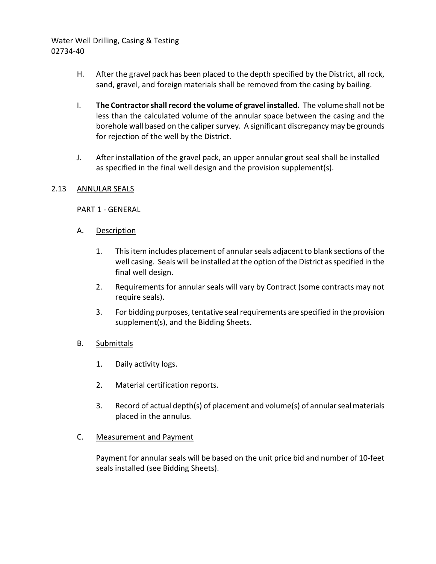- H. After the gravel pack has been placed to the depth specified by the District, all rock, sand, gravel, and foreign materials shall be removed from the casing by bailing.
- I. **The Contractor shall record the volume of gravel installed.** The volume shall not be less than the calculated volume of the annular space between the casing and the borehole wall based on the caliper survey. A significant discrepancy may be grounds for rejection of the well by the District.
- J. After installation of the gravel pack, an upper annular grout seal shall be installed as specified in the final well design and the provision supplement(s).

## 2.13 ANNULAR SEALS

PART 1 - GENERAL

- A. Description
	- 1. This item includes placement of annular seals adjacent to blank sections of the well casing. Seals will be installed at the option of the District as specified in the final well design.
	- 2. Requirements for annular seals will vary by Contract (some contracts may not require seals).
	- 3. For bidding purposes, tentative seal requirements are specified in the provision supplement(s), and the Bidding Sheets.

### B. Submittals

- 1. Daily activity logs.
- 2. Material certification reports.
- 3. Record of actual depth(s) of placement and volume(s) of annular seal materials placed in the annulus.

### C. Measurement and Payment

Payment for annular seals will be based on the unit price bid and number of 10-feet seals installed (see Bidding Sheets).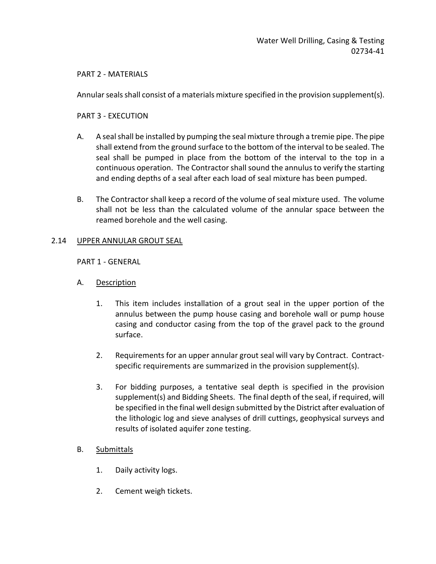### PART 2 - MATERIALS

Annular seals shall consist of a materials mixture specified in the provision supplement(s).

### PART 3 - EXECUTION

- A. A seal shall be installed by pumping the seal mixture through a tremie pipe. The pipe shall extend from the ground surface to the bottom of the interval to be sealed. The seal shall be pumped in place from the bottom of the interval to the top in a continuous operation. The Contractor shall sound the annulus to verify the starting and ending depths of a seal after each load of seal mixture has been pumped.
- B. The Contractor shall keep a record of the volume of seal mixture used. The volume shall not be less than the calculated volume of the annular space between the reamed borehole and the well casing.

## 2.14 UPPER ANNULAR GROUT SEAL

### PART 1 - GENERAL

- A. Description
	- 1. This item includes installation of a grout seal in the upper portion of the annulus between the pump house casing and borehole wall or pump house casing and conductor casing from the top of the gravel pack to the ground surface.
	- 2. Requirements for an upper annular grout seal will vary by Contract. Contractspecific requirements are summarized in the provision supplement(s).
	- 3. For bidding purposes, a tentative seal depth is specified in the provision supplement(s) and Bidding Sheets. The final depth of the seal, if required, will be specified in the final well design submitted by the District after evaluation of the lithologic log and sieve analyses of drill cuttings, geophysical surveys and results of isolated aquifer zone testing.

### B. Submittals

- 1. Daily activity logs.
- 2. Cement weigh tickets.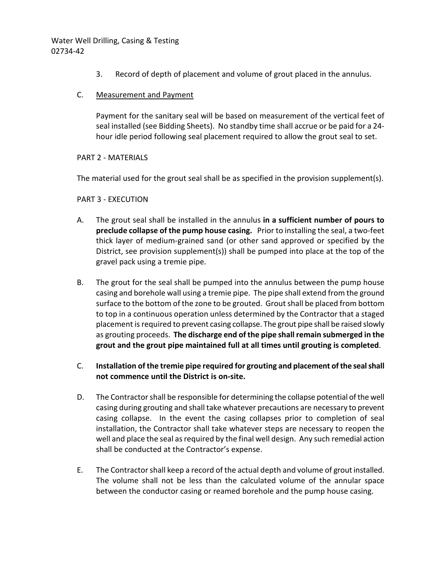- 3. Record of depth of placement and volume of grout placed in the annulus.
- C. Measurement and Payment

Payment for the sanitary seal will be based on measurement of the vertical feet of seal installed (see Bidding Sheets). No standby time shall accrue or be paid for a 24 hour idle period following seal placement required to allow the grout seal to set.

#### PART 2 - MATERIALS

The material used for the grout seal shall be as specified in the provision supplement(s).

#### PART 3 - EXECUTION

- A. The grout seal shall be installed in the annulus **in a sufficient number of pours to preclude collapse of the pump house casing.** Prior to installing the seal, a two-feet thick layer of medium-grained sand (or other sand approved or specified by the District, see provision supplement(s)) shall be pumped into place at the top of the gravel pack using a tremie pipe.
- B. The grout for the seal shall be pumped into the annulus between the pump house casing and borehole wall using a tremie pipe. The pipe shall extend from the ground surface to the bottom of the zone to be grouted. Grout shall be placed from bottom to top in a continuous operation unless determined by the Contractor that a staged placement is required to prevent casing collapse. The grout pipe shall be raised slowly as grouting proceeds. **The discharge end of the pipe shall remain submerged in the grout and the grout pipe maintained full at all times until grouting is completed**.
- C. **Installation of the tremie pipe required for grouting and placement of the seal shall not commence until the District is on-site.**
- D. The Contractor shall be responsible for determining the collapse potential of the well casing during grouting and shall take whatever precautions are necessary to prevent casing collapse. In the event the casing collapses prior to completion of seal installation, the Contractor shall take whatever steps are necessary to reopen the well and place the seal as required by the final well design. Any such remedial action shall be conducted at the Contractor's expense.
- E. The Contractor shall keep a record of the actual depth and volume of grout installed. The volume shall not be less than the calculated volume of the annular space between the conductor casing or reamed borehole and the pump house casing.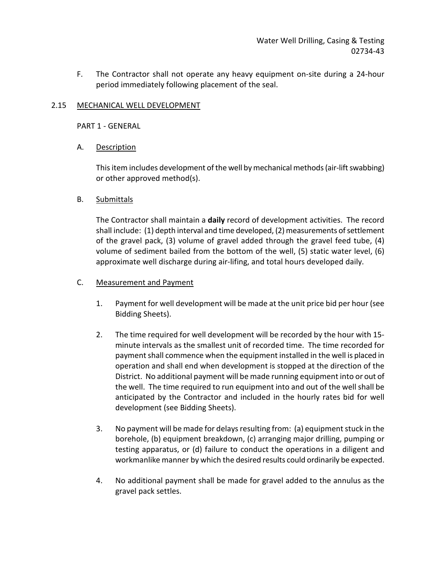F. The Contractor shall not operate any heavy equipment on-site during a 24-hour period immediately following placement of the seal.

## 2.15 MECHANICAL WELL DEVELOPMENT

PART 1 - GENERAL

## A. Description

This item includes development of the well by mechanical methods (air-lift swabbing) or other approved method(s).

## B. Submittals

The Contractor shall maintain a **daily** record of development activities. The record shall include: (1) depth interval and time developed, (2) measurements of settlement of the gravel pack, (3) volume of gravel added through the gravel feed tube, (4) volume of sediment bailed from the bottom of the well, (5) static water level, (6) approximate well discharge during air-lifing, and total hours developed daily.

## C. Measurement and Payment

- 1. Payment for well development will be made at the unit price bid per hour (see Bidding Sheets).
- 2. The time required for well development will be recorded by the hour with 15 minute intervals as the smallest unit of recorded time. The time recorded for payment shall commence when the equipment installed in the well is placed in operation and shall end when development is stopped at the direction of the District. No additional payment will be made running equipment into or out of the well. The time required to run equipment into and out of the well shall be anticipated by the Contractor and included in the hourly rates bid for well development (see Bidding Sheets).
- 3. No payment will be made for delays resulting from: (a) equipment stuck in the borehole, (b) equipment breakdown, (c) arranging major drilling, pumping or testing apparatus, or (d) failure to conduct the operations in a diligent and workmanlike manner by which the desired results could ordinarily be expected.
- 4. No additional payment shall be made for gravel added to the annulus as the gravel pack settles.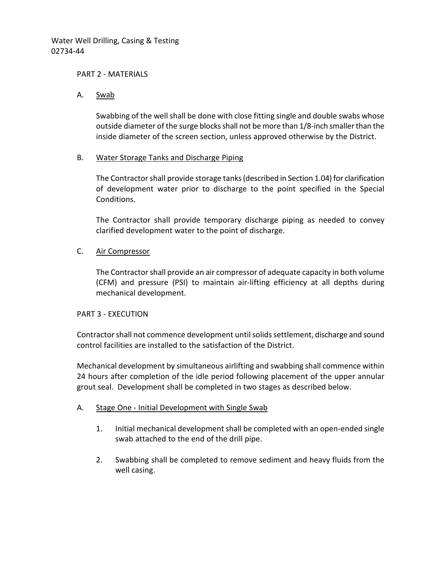#### PART 2 - MATERIALS

### A. Swab

Swabbing of the well shall be done with close fitting single and double swabs whose outside diameter of the surge blocks shall not be more than 1/8-inch smaller than the inside diameter of the screen section, unless approved otherwise by the District.

#### B. Water Storage Tanks and Discharge Piping

The Contractorshall provide storage tanks (described in Section 1.04) for clarification of development water prior to discharge to the point specified in the Special Conditions.

The Contractor shall provide temporary discharge piping as needed to convey clarified development water to the point of discharge.

### C. Air Compressor

The Contractor shall provide an air compressor of adequate capacity in both volume (CFM) and pressure (PSI) to maintain air-lifting efficiency at all depths during mechanical development.

#### PART 3 - EXECUTION

Contractor shall not commence development until solids settlement, discharge and sound control facilities are installed to the satisfaction of the District.

Mechanical development by simultaneous airlifting and swabbing shall commence within 24 hours after completion of the idle period following placement of the upper annular grout seal. Development shall be completed in two stages as described below.

### A. Stage One - Initial Development with Single Swab

- 1. Initial mechanical development shall be completed with an open-ended single swab attached to the end of the drill pipe.
- 2. Swabbing shall be completed to remove sediment and heavy fluids from the well casing.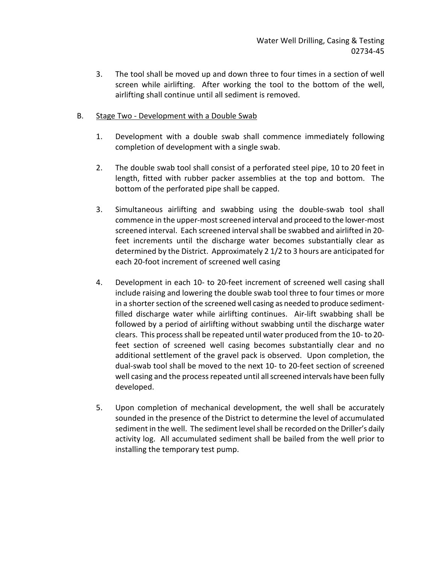- 3. The tool shall be moved up and down three to four times in a section of well screen while airlifting. After working the tool to the bottom of the well, airlifting shall continue until all sediment is removed.
- B. Stage Two Development with a Double Swab
	- 1. Development with a double swab shall commence immediately following completion of development with a single swab.
	- 2. The double swab tool shall consist of a perforated steel pipe, 10 to 20 feet in length, fitted with rubber packer assemblies at the top and bottom. The bottom of the perforated pipe shall be capped.
	- 3. Simultaneous airlifting and swabbing using the double-swab tool shall commence in the upper-most screened interval and proceed to the lower-most screened interval. Each screened interval shall be swabbed and airlifted in 20 feet increments until the discharge water becomes substantially clear as determined by the District. Approximately 2 1/2 to 3 hours are anticipated for each 20-foot increment of screened well casing
	- 4. Development in each 10- to 20-feet increment of screened well casing shall include raising and lowering the double swab tool three to four times or more in a shorter section of the screened well casing as needed to produce sedimentfilled discharge water while airlifting continues. Air-lift swabbing shall be followed by a period of airlifting without swabbing until the discharge water clears. This process shall be repeated until water produced from the 10- to 20 feet section of screened well casing becomes substantially clear and no additional settlement of the gravel pack is observed. Upon completion, the dual-swab tool shall be moved to the next 10- to 20-feet section of screened well casing and the process repeated until all screened intervals have been fully developed.
	- 5. Upon completion of mechanical development, the well shall be accurately sounded in the presence of the District to determine the level of accumulated sediment in the well. The sediment level shall be recorded on the Driller's daily activity log. All accumulated sediment shall be bailed from the well prior to installing the temporary test pump.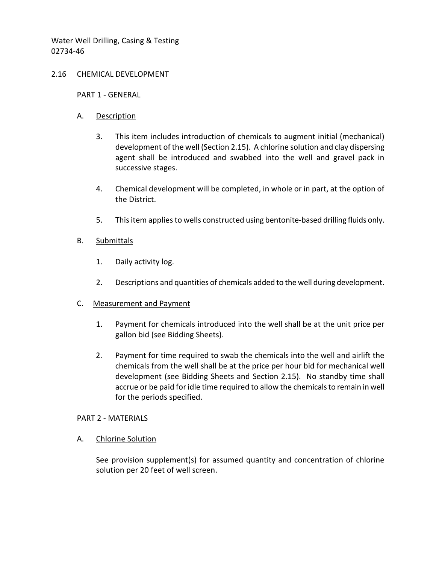### 2.16 CHEMICAL DEVELOPMENT

#### PART 1 - GENERAL

### A. Description

- 3. This item includes introduction of chemicals to augment initial (mechanical) development of the well (Section 2.15). A chlorine solution and clay dispersing agent shall be introduced and swabbed into the well and gravel pack in successive stages.
- 4. Chemical development will be completed, in whole or in part, at the option of the District.
- 5. This item applies to wells constructed using bentonite-based drilling fluids only.

### B. Submittals

- 1. Daily activity log.
- 2. Descriptions and quantities of chemicals added to the well during development.

### C. Measurement and Payment

- 1. Payment for chemicals introduced into the well shall be at the unit price per gallon bid (see Bidding Sheets).
- 2. Payment for time required to swab the chemicals into the well and airlift the chemicals from the well shall be at the price per hour bid for mechanical well development (see Bidding Sheets and Section 2.15). No standby time shall accrue or be paid for idle time required to allow the chemicals to remain in well for the periods specified.

#### PART 2 - MATERIALS

A. Chlorine Solution

See provision supplement(s) for assumed quantity and concentration of chlorine solution per 20 feet of well screen.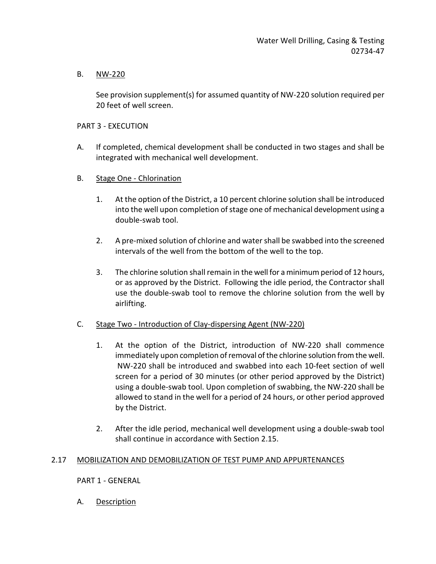# B. NW-220

See provision supplement(s) for assumed quantity of NW-220 solution required per 20 feet of well screen.

## PART 3 - EXECUTION

- A. If completed, chemical development shall be conducted in two stages and shall be integrated with mechanical well development.
- B. Stage One Chlorination
	- 1. At the option of the District, a 10 percent chlorine solution shall be introduced into the well upon completion of stage one of mechanical development using a double-swab tool.
	- 2. A pre-mixed solution of chlorine and water shall be swabbed into the screened intervals of the well from the bottom of the well to the top.
	- 3. The chlorine solution shall remain in the well for a minimum period of 12 hours, or as approved by the District. Following the idle period, the Contractor shall use the double-swab tool to remove the chlorine solution from the well by airlifting.

# C. Stage Two - Introduction of Clay-dispersing Agent (NW-220)

- 1. At the option of the District, introduction of NW-220 shall commence immediately upon completion of removal of the chlorine solution from the well. NW-220 shall be introduced and swabbed into each 10-feet section of well screen for a period of 30 minutes (or other period approved by the District) using a double-swab tool. Upon completion of swabbing, the NW-220 shall be allowed to stand in the well for a period of 24 hours, or other period approved by the District.
- 2. After the idle period, mechanical well development using a double-swab tool shall continue in accordance with Section 2.15.

# 2.17 MOBILIZATION AND DEMOBILIZATION OF TEST PUMP AND APPURTENANCES

PART 1 - GENERAL

A. Description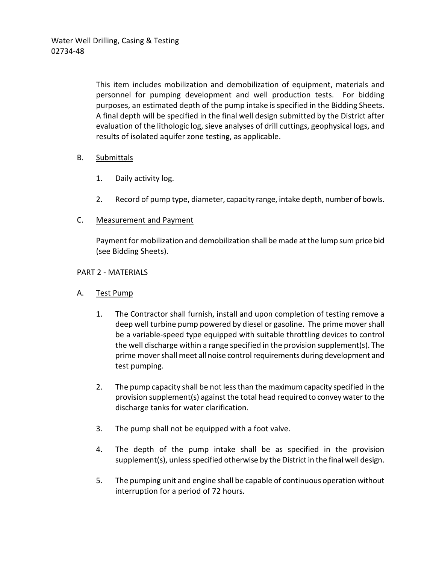This item includes mobilization and demobilization of equipment, materials and personnel for pumping development and well production tests. For bidding purposes, an estimated depth of the pump intake is specified in the Bidding Sheets. A final depth will be specified in the final well design submitted by the District after evaluation of the lithologic log, sieve analyses of drill cuttings, geophysical logs, and results of isolated aquifer zone testing, as applicable.

# B. Submittals

- 1. Daily activity log.
- 2. Record of pump type, diameter, capacity range, intake depth, number of bowls.

# C. Measurement and Payment

Payment for mobilization and demobilization shall be made at the lump sum price bid (see Bidding Sheets).

# PART 2 - MATERIALS

# A. Test Pump

- 1. The Contractor shall furnish, install and upon completion of testing remove a deep well turbine pump powered by diesel or gasoline. The prime mover shall be a variable-speed type equipped with suitable throttling devices to control the well discharge within a range specified in the provision supplement(s). The prime mover shall meet all noise control requirements during development and test pumping.
- 2. The pump capacity shall be not less than the maximum capacity specified in the provision supplement(s) against the total head required to convey water to the discharge tanks for water clarification.
- 3. The pump shall not be equipped with a foot valve.
- 4. The depth of the pump intake shall be as specified in the provision supplement(s), unless specified otherwise by the District in the final well design.
- 5. The pumping unit and engine shall be capable of continuous operation without interruption for a period of 72 hours.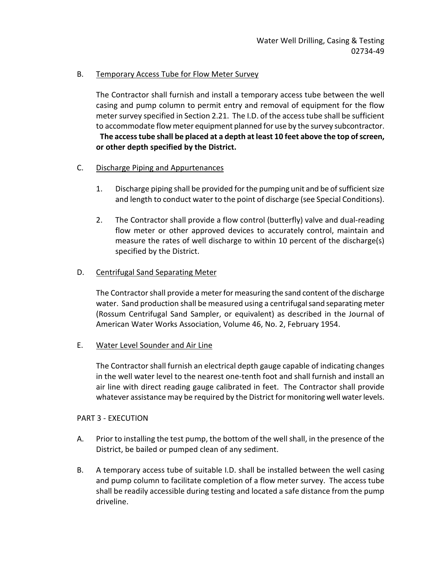# B. Temporary Access Tube for Flow Meter Survey

The Contractor shall furnish and install a temporary access tube between the well casing and pump column to permit entry and removal of equipment for the flow meter survey specified in Section 2.21. The I.D. of the access tube shall be sufficient to accommodate flow meter equipment planned for use by the survey subcontractor.

# **The access tube shall be placed at a depth at least 10 feet above the top of screen, or other depth specified by the District.**

# C. Discharge Piping and Appurtenances

- 1. Discharge piping shall be provided for the pumping unit and be of sufficient size and length to conduct water to the point of discharge (see Special Conditions).
- 2. The Contractor shall provide a flow control (butterfly) valve and dual-reading flow meter or other approved devices to accurately control, maintain and measure the rates of well discharge to within 10 percent of the discharge(s) specified by the District.

## D. Centrifugal Sand Separating Meter

The Contractor shall provide a meter for measuring the sand content of the discharge water. Sand production shall be measured using a centrifugal sand separating meter (Rossum Centrifugal Sand Sampler, or equivalent) as described in the Journal of American Water Works Association, Volume 46, No. 2, February 1954.

# E. Water Level Sounder and Air Line

The Contractor shall furnish an electrical depth gauge capable of indicating changes in the well water level to the nearest one-tenth foot and shall furnish and install an air line with direct reading gauge calibrated in feet. The Contractor shall provide whatever assistance may be required by the District for monitoring well water levels.

### PART 3 - EXECUTION

- A. Prior to installing the test pump, the bottom of the well shall, in the presence of the District, be bailed or pumped clean of any sediment.
- B. A temporary access tube of suitable I.D. shall be installed between the well casing and pump column to facilitate completion of a flow meter survey. The access tube shall be readily accessible during testing and located a safe distance from the pump driveline.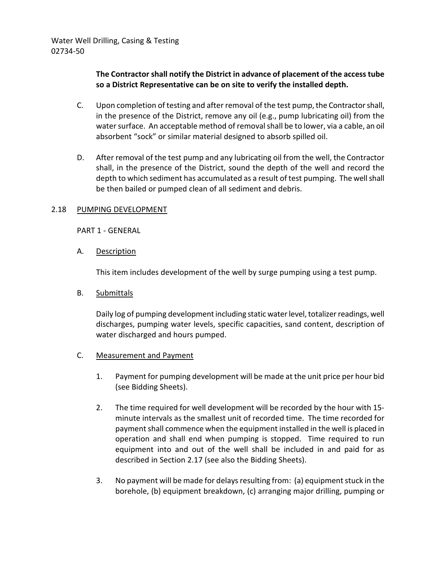# **The Contractor shall notify the District in advance of placement of the access tube so a District Representative can be on site to verify the installed depth.**

- C. Upon completion of testing and after removal of the test pump, the Contractor shall, in the presence of the District, remove any oil (e.g., pump lubricating oil) from the water surface. An acceptable method of removal shall be to lower, via a cable, an oil absorbent "sock" or similar material designed to absorb spilled oil.
- D. After removal of the test pump and any lubricating oil from the well, the Contractor shall, in the presence of the District, sound the depth of the well and record the depth to which sediment has accumulated as a result of test pumping. The well shall be then bailed or pumped clean of all sediment and debris.

## 2.18 PUMPING DEVELOPMENT

PART 1 - GENERAL

A. Description

This item includes development of the well by surge pumping using a test pump.

B. Submittals

Daily log of pumping development including static water level, totalizer readings, well discharges, pumping water levels, specific capacities, sand content, description of water discharged and hours pumped.

- C. Measurement and Payment
	- 1. Payment for pumping development will be made at the unit price per hour bid (see Bidding Sheets).
	- 2. The time required for well development will be recorded by the hour with 15 minute intervals as the smallest unit of recorded time. The time recorded for payment shall commence when the equipment installed in the well is placed in operation and shall end when pumping is stopped. Time required to run equipment into and out of the well shall be included in and paid for as described in Section 2.17 (see also the Bidding Sheets).
	- 3. No payment will be made for delays resulting from: (a) equipment stuck in the borehole, (b) equipment breakdown, (c) arranging major drilling, pumping or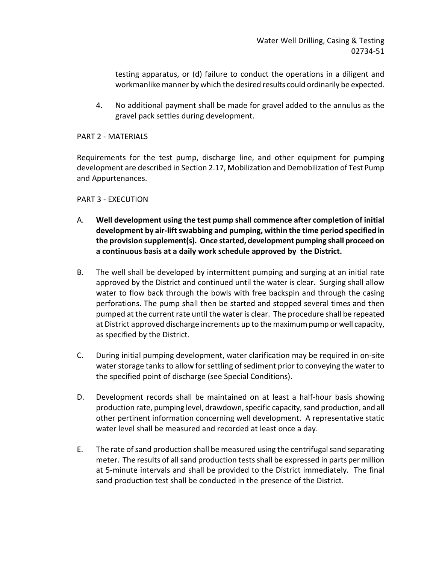testing apparatus, or (d) failure to conduct the operations in a diligent and workmanlike manner by which the desired results could ordinarily be expected.

4. No additional payment shall be made for gravel added to the annulus as the gravel pack settles during development.

## PART 2 - MATERIALS

Requirements for the test pump, discharge line, and other equipment for pumping development are described in Section 2.17, Mobilization and Demobilization of Test Pump and Appurtenances.

## PART 3 - EXECUTION

- A. **Well development using the test pump shall commence after completion of initial development by air-lift swabbing and pumping, within the time period specified in the provision supplement(s). Once started, development pumping shall proceed on a continuous basis at a daily work schedule approved by the District.**
- B. The well shall be developed by intermittent pumping and surging at an initial rate approved by the District and continued until the water is clear. Surging shall allow water to flow back through the bowls with free backspin and through the casing perforations. The pump shall then be started and stopped several times and then pumped at the current rate until the water is clear. The procedure shall be repeated at District approved discharge increments up to the maximum pump or well capacity, as specified by the District.
- C. During initial pumping development, water clarification may be required in on-site water storage tanks to allow for settling of sediment prior to conveying the water to the specified point of discharge (see Special Conditions).
- D. Development records shall be maintained on at least a half-hour basis showing production rate, pumping level, drawdown, specific capacity, sand production, and all other pertinent information concerning well development. A representative static water level shall be measured and recorded at least once a day.
- E. The rate of sand production shall be measured using the centrifugal sand separating meter. The results of all sand production tests shall be expressed in parts per million at 5-minute intervals and shall be provided to the District immediately. The final sand production test shall be conducted in the presence of the District.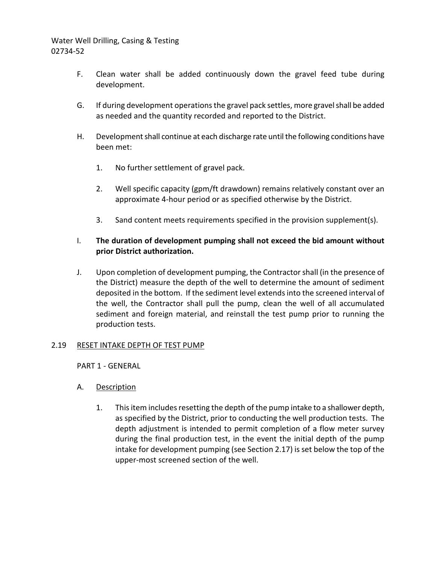- F. Clean water shall be added continuously down the gravel feed tube during development.
- G. If during development operations the gravel pack settles, more gravel shall be added as needed and the quantity recorded and reported to the District.
- H. Development shall continue at each discharge rate until the following conditions have been met:
	- 1. No further settlement of gravel pack.
	- 2. Well specific capacity (gpm/ft drawdown) remains relatively constant over an approximate 4-hour period or as specified otherwise by the District.
	- 3. Sand content meets requirements specified in the provision supplement(s).

# I. **The duration of development pumping shall not exceed the bid amount without prior District authorization.**

J. Upon completion of development pumping, the Contractor shall (in the presence of the District) measure the depth of the well to determine the amount of sediment deposited in the bottom. If the sediment level extends into the screened interval of the well, the Contractor shall pull the pump, clean the well of all accumulated sediment and foreign material, and reinstall the test pump prior to running the production tests.

# 2.19 RESET INTAKE DEPTH OF TEST PUMP

PART 1 - GENERAL

- A. Description
	- 1. This item includes resetting the depth of the pump intake to a shallower depth, as specified by the District, prior to conducting the well production tests. The depth adjustment is intended to permit completion of a flow meter survey during the final production test, in the event the initial depth of the pump intake for development pumping (see Section 2.17) is set below the top of the upper-most screened section of the well.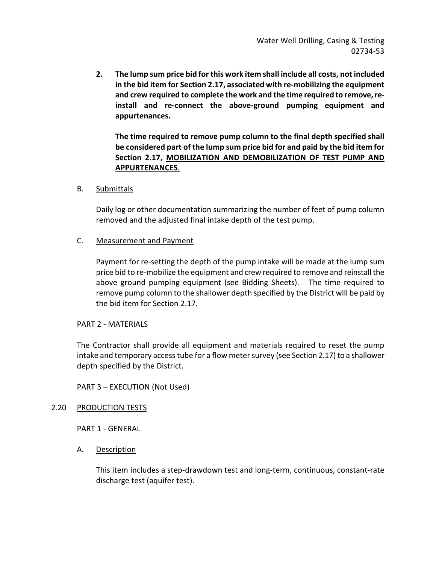**2. The lump sum price bid for this work item shall include all costs, not included in the bid item for Section 2.17, associated with re-mobilizing the equipment and crew required to complete the work and the time required to remove, reinstall and re-connect the above-ground pumping equipment and appurtenances.** 

**The time required to remove pump column to the final depth specified shall be considered part of the lump sum price bid for and paid by the bid item for Section 2.17, MOBILIZATION AND DEMOBILIZATION OF TEST PUMP AND APPURTENANCES**.

B. Submittals

Daily log or other documentation summarizing the number of feet of pump column removed and the adjusted final intake depth of the test pump.

## C. Measurement and Payment

Payment for re-setting the depth of the pump intake will be made at the lump sum price bid to re-mobilize the equipment and crew required to remove and reinstall the above ground pumping equipment (see Bidding Sheets). The time required to remove pump column to the shallower depth specified by the District will be paid by the bid item for Section 2.17.

### PART 2 - MATERIALS

The Contractor shall provide all equipment and materials required to reset the pump intake and temporary access tube for a flow meter survey (see Section 2.17) to a shallower depth specified by the District.

PART 3 – EXECUTION (Not Used)

### 2.20 PRODUCTION TESTS

PART 1 - GENERAL

A. Description

This item includes a step-drawdown test and long-term, continuous, constant-rate discharge test (aquifer test).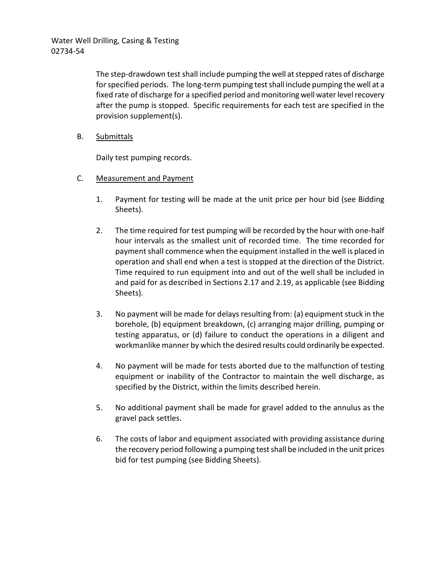> The step-drawdown test shall include pumping the well at stepped rates of discharge for specified periods. The long-term pumping test shall include pumping the well at a fixed rate of discharge for a specified period and monitoring well water level recovery after the pump is stopped. Specific requirements for each test are specified in the provision supplement(s).

B. Submittals

Daily test pumping records.

- C. Measurement and Payment
	- 1. Payment for testing will be made at the unit price per hour bid (see Bidding Sheets).
	- 2. The time required for test pumping will be recorded by the hour with one-half hour intervals as the smallest unit of recorded time. The time recorded for payment shall commence when the equipment installed in the well is placed in operation and shall end when a test is stopped at the direction of the District. Time required to run equipment into and out of the well shall be included in and paid for as described in Sections 2.17 and 2.19, as applicable (see Bidding Sheets).
	- 3. No payment will be made for delays resulting from: (a) equipment stuck in the borehole, (b) equipment breakdown, (c) arranging major drilling, pumping or testing apparatus, or (d) failure to conduct the operations in a diligent and workmanlike manner by which the desired results could ordinarily be expected.
	- 4. No payment will be made for tests aborted due to the malfunction of testing equipment or inability of the Contractor to maintain the well discharge, as specified by the District, within the limits described herein.
	- 5. No additional payment shall be made for gravel added to the annulus as the gravel pack settles.
	- 6. The costs of labor and equipment associated with providing assistance during the recovery period following a pumping test shall be included in the unit prices bid for test pumping (see Bidding Sheets).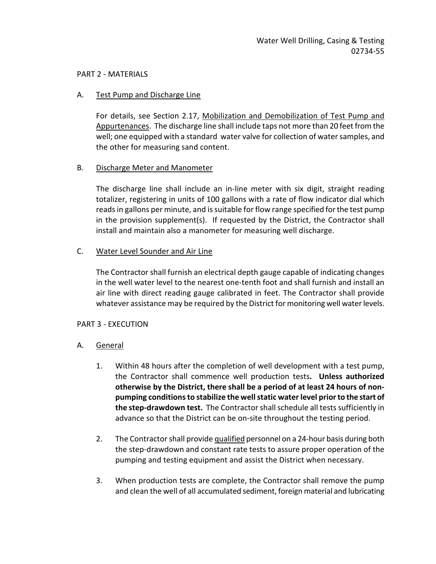#### PART 2 - MATERIALS

#### A. Test Pump and Discharge Line

For details, see Section 2.17, Mobilization and Demobilization of Test Pump and Appurtenances. The discharge line shall include taps not more than 20 feet from the well; one equipped with a standard water valve for collection of water samples, and the other for measuring sand content.

### B. Discharge Meter and Manometer

The discharge line shall include an in-line meter with six digit, straight reading totalizer, registering in units of 100 gallons with a rate of flow indicator dial which reads in gallons per minute, and is suitable for flow range specified for the test pump in the provision supplement(s). If requested by the District, the Contractor shall install and maintain also a manometer for measuring well discharge.

### C. Water Level Sounder and Air Line

The Contractor shall furnish an electrical depth gauge capable of indicating changes in the well water level to the nearest one-tenth foot and shall furnish and install an air line with direct reading gauge calibrated in feet. The Contractor shall provide whatever assistance may be required by the District for monitoring well water levels.

### PART 3 - EXECUTION

- A. General
	- 1. Within 48 hours after the completion of well development with a test pump, the Contractor shall commence well production tests**. Unless authorized otherwise by the District, there shall be a period of at least 24 hours of nonpumping conditions to stabilize the well static water level prior to the start of the step-drawdown test.** The Contractor shall schedule all tests sufficiently in advance so that the District can be on-site throughout the testing period.
	- 2. The Contractor shall provide qualified personnel on a 24-hour basis during both the step-drawdown and constant rate tests to assure proper operation of the pumping and testing equipment and assist the District when necessary.
	- 3. When production tests are complete, the Contractor shall remove the pump and clean the well of all accumulated sediment, foreign material and lubricating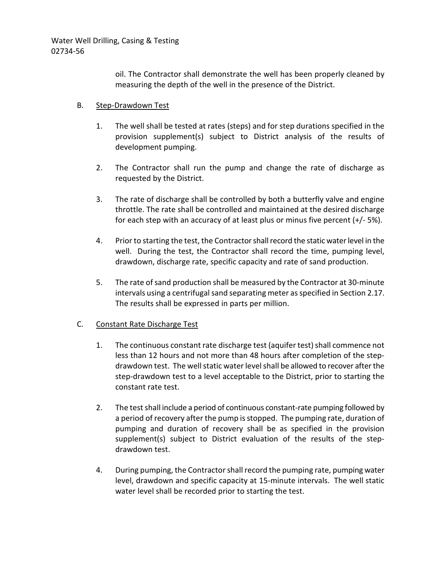> oil. The Contractor shall demonstrate the well has been properly cleaned by measuring the depth of the well in the presence of the District.

### B. Step-Drawdown Test

- 1. The well shall be tested at rates (steps) and for step durations specified in the provision supplement(s) subject to District analysis of the results of development pumping.
- 2. The Contractor shall run the pump and change the rate of discharge as requested by the District.
- 3. The rate of discharge shall be controlled by both a butterfly valve and engine throttle. The rate shall be controlled and maintained at the desired discharge for each step with an accuracy of at least plus or minus five percent (+/- 5%).
- 4. Prior to starting the test, the Contractor shall record the static water level in the well. During the test, the Contractor shall record the time, pumping level, drawdown, discharge rate, specific capacity and rate of sand production.
- 5. The rate of sand production shall be measured by the Contractor at 30-minute intervals using a centrifugal sand separating meter as specified in Section 2.17. The results shall be expressed in parts per million.

### C. Constant Rate Discharge Test

- 1. The continuous constant rate discharge test (aquifer test) shall commence not less than 12 hours and not more than 48 hours after completion of the stepdrawdown test. The well static water level shall be allowed to recover after the step-drawdown test to a level acceptable to the District, prior to starting the constant rate test.
- 2. The test shall include a period of continuous constant-rate pumping followed by a period of recovery after the pump is stopped. The pumping rate, duration of pumping and duration of recovery shall be as specified in the provision supplement(s) subject to District evaluation of the results of the stepdrawdown test.
- 4. During pumping, the Contractor shall record the pumping rate, pumping water level, drawdown and specific capacity at 15-minute intervals. The well static water level shall be recorded prior to starting the test.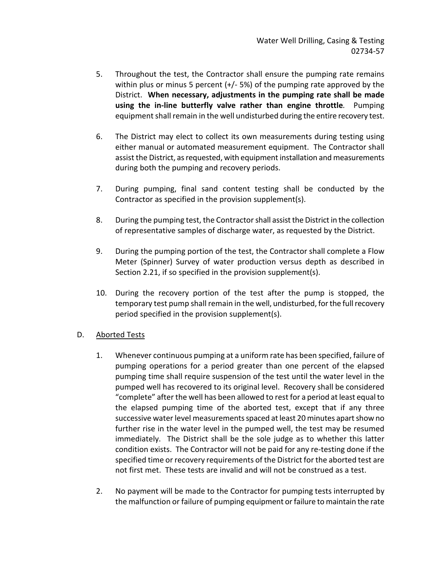- 5. Throughout the test, the Contractor shall ensure the pumping rate remains within plus or minus 5 percent (+/- 5%) of the pumping rate approved by the District.**When necessary, adjustments in the pumping rate shall be made using the in-line butterfly valve rather than engine throttle***.* Pumping equipment shall remain in the well undisturbed during the entire recovery test.
- 6. The District may elect to collect its own measurements during testing using either manual or automated measurement equipment. The Contractor shall assist the District, as requested, with equipment installation and measurements during both the pumping and recovery periods.
- 7. During pumping, final sand content testing shall be conducted by the Contractor as specified in the provision supplement(s).
- 8. During the pumping test, the Contractor shall assist the District in the collection of representative samples of discharge water, as requested by the District.
- 9. During the pumping portion of the test, the Contractor shall complete a Flow Meter (Spinner) Survey of water production versus depth as described in Section 2.21, if so specified in the provision supplement(s).
- 10. During the recovery portion of the test after the pump is stopped, the temporary test pump shall remain in the well, undisturbed, for the full recovery period specified in the provision supplement(s).

# D. Aborted Tests

- 1. Whenever continuous pumping at a uniform rate has been specified, failure of pumping operations for a period greater than one percent of the elapsed pumping time shall require suspension of the test until the water level in the pumped well has recovered to its original level. Recovery shall be considered "complete" after the well has been allowed to rest for a period at least equal to the elapsed pumping time of the aborted test, except that if any three successive water level measurements spaced at least 20 minutes apart show no further rise in the water level in the pumped well, the test may be resumed immediately. The District shall be the sole judge as to whether this latter condition exists. The Contractor will not be paid for any re-testing done if the specified time or recovery requirements of the District for the aborted test are not first met. These tests are invalid and will not be construed as a test.
- 2. No payment will be made to the Contractor for pumping tests interrupted by the malfunction or failure of pumping equipment or failure to maintain the rate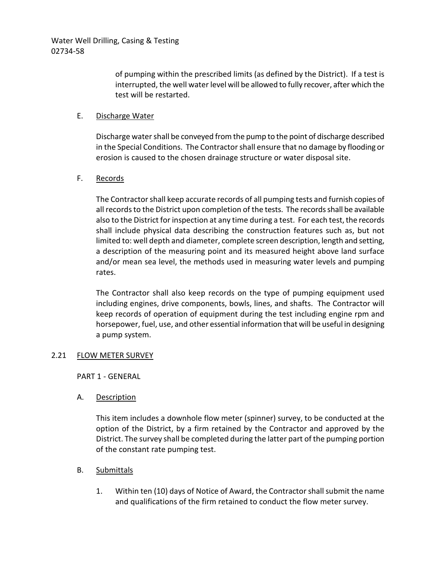of pumping within the prescribed limits (as defined by the District). If a test is interrupted, the well water level will be allowed to fully recover, after which the test will be restarted.

## E. Discharge Water

Discharge water shall be conveyed from the pump to the point of discharge described in the Special Conditions. The Contractor shall ensure that no damage by flooding or erosion is caused to the chosen drainage structure or water disposal site.

## F. Records

The Contractor shall keep accurate records of all pumping tests and furnish copies of all records to the District upon completion of the tests. The records shall be available also to the District for inspection at any time during a test. For each test, the records shall include physical data describing the construction features such as, but not limited to: well depth and diameter, complete screen description, length and setting, a description of the measuring point and its measured height above land surface and/or mean sea level, the methods used in measuring water levels and pumping rates.

The Contractor shall also keep records on the type of pumping equipment used including engines, drive components, bowls, lines, and shafts. The Contractor will keep records of operation of equipment during the test including engine rpm and horsepower, fuel, use, and other essential information that will be useful in designing a pump system.

### 2.21 FLOW METER SURVEY

PART 1 - GENERAL

A. Description

This item includes a downhole flow meter (spinner) survey, to be conducted at the option of the District, by a firm retained by the Contractor and approved by the District. The survey shall be completed during the latter part of the pumping portion of the constant rate pumping test.

- B. Submittals
	- 1. Within ten (10) days of Notice of Award, the Contractor shall submit the name and qualifications of the firm retained to conduct the flow meter survey.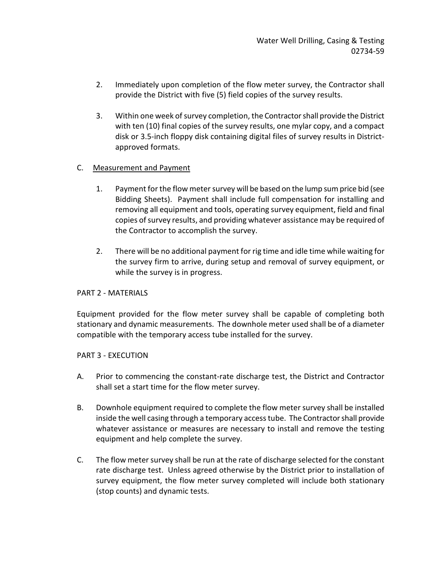- 2. Immediately upon completion of the flow meter survey, the Contractor shall provide the District with five (5) field copies of the survey results.
- 3. Within one week of survey completion, the Contractor shall provide the District with ten (10) final copies of the survey results, one mylar copy, and a compact disk or 3.5-inch floppy disk containing digital files of survey results in Districtapproved formats.

# C. Measurement and Payment

- 1. Payment for the flow meter survey will be based on the lump sum price bid (see Bidding Sheets). Payment shall include full compensation for installing and removing all equipment and tools, operating survey equipment, field and final copies of survey results, and providing whatever assistance may be required of the Contractor to accomplish the survey.
- 2. There will be no additional payment for rig time and idle time while waiting for the survey firm to arrive, during setup and removal of survey equipment, or while the survey is in progress.

# PART 2 - MATERIALS

Equipment provided for the flow meter survey shall be capable of completing both stationary and dynamic measurements. The downhole meter used shall be of a diameter compatible with the temporary access tube installed for the survey.

# PART 3 - EXECUTION

- A. Prior to commencing the constant-rate discharge test, the District and Contractor shall set a start time for the flow meter survey.
- B. Downhole equipment required to complete the flow meter survey shall be installed inside the well casing through a temporary access tube. The Contractor shall provide whatever assistance or measures are necessary to install and remove the testing equipment and help complete the survey.
- C. The flow meter survey shall be run at the rate of discharge selected for the constant rate discharge test. Unless agreed otherwise by the District prior to installation of survey equipment, the flow meter survey completed will include both stationary (stop counts) and dynamic tests.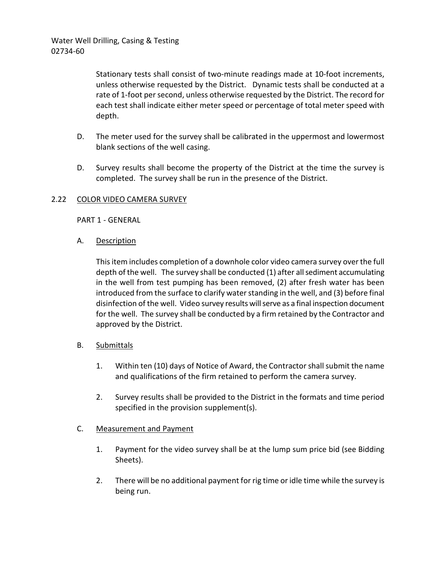Stationary tests shall consist of two-minute readings made at 10-foot increments, unless otherwise requested by the District. Dynamic tests shall be conducted at a rate of 1-foot per second, unless otherwise requested by the District. The record for each test shall indicate either meter speed or percentage of total meter speed with depth.

- D. The meter used for the survey shall be calibrated in the uppermost and lowermost blank sections of the well casing.
- D. Survey results shall become the property of the District at the time the survey is completed. The survey shall be run in the presence of the District.

# 2.22 COLOR VIDEO CAMERA SURVEY

PART 1 - GENERAL

A. Description

This item includes completion of a downhole color video camera survey over the full depth of the well. The survey shall be conducted (1) after all sediment accumulating in the well from test pumping has been removed, (2) after fresh water has been introduced from the surface to clarify water standing in the well, and (3) before final disinfection of the well. Video survey results will serve as a final inspection document for the well. The survey shall be conducted by a firm retained by the Contractor and approved by the District.

### B. Submittals

- 1. Within ten (10) days of Notice of Award, the Contractor shall submit the name and qualifications of the firm retained to perform the camera survey.
- 2. Survey results shall be provided to the District in the formats and time period specified in the provision supplement(s).

### C. Measurement and Payment

- 1. Payment for the video survey shall be at the lump sum price bid (see Bidding Sheets).
- 2. There will be no additional payment for rig time or idle time while the survey is being run.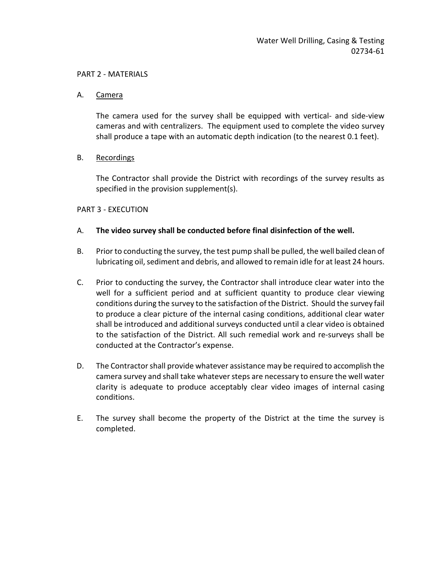#### PART 2 - MATERIALS

#### A. Camera

The camera used for the survey shall be equipped with vertical- and side-view cameras and with centralizers. The equipment used to complete the video survey shall produce a tape with an automatic depth indication (to the nearest 0.1 feet).

### B. Recordings

The Contractor shall provide the District with recordings of the survey results as specified in the provision supplement(s).

### PART 3 - EXECUTION

### A. **The video survey shall be conducted before final disinfection of the well.**

- B. Prior to conducting the survey, the test pump shall be pulled, the well bailed clean of lubricating oil, sediment and debris, and allowed to remain idle for at least 24 hours.
- C. Prior to conducting the survey, the Contractor shall introduce clear water into the well for a sufficient period and at sufficient quantity to produce clear viewing conditions during the survey to the satisfaction of the District. Should the survey fail to produce a clear picture of the internal casing conditions, additional clear water shall be introduced and additional surveys conducted until a clear video is obtained to the satisfaction of the District. All such remedial work and re-surveys shall be conducted at the Contractor's expense.
- D. The Contractor shall provide whatever assistance may be required to accomplish the camera survey and shall take whatever steps are necessary to ensure the well water clarity is adequate to produce acceptably clear video images of internal casing conditions.
- E. The survey shall become the property of the District at the time the survey is completed.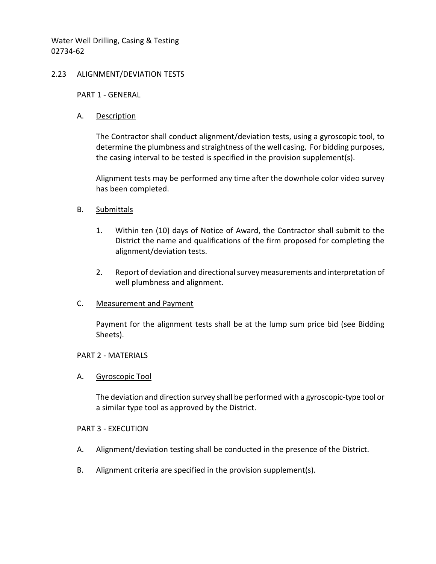### 2.23 ALIGNMENT/DEVIATION TESTS

PART 1 - GENERAL

#### A. Description

The Contractor shall conduct alignment/deviation tests, using a gyroscopic tool, to determine the plumbness and straightness of the well casing. For bidding purposes, the casing interval to be tested is specified in the provision supplement(s).

Alignment tests may be performed any time after the downhole color video survey has been completed.

### B. Submittals

- 1. Within ten (10) days of Notice of Award, the Contractor shall submit to the District the name and qualifications of the firm proposed for completing the alignment/deviation tests.
- 2. Report of deviation and directional survey measurements and interpretation of well plumbness and alignment.

### C. Measurement and Payment

Payment for the alignment tests shall be at the lump sum price bid (see Bidding Sheets).

#### PART 2 - MATERIALS

#### A. Gyroscopic Tool

The deviation and direction survey shall be performed with a gyroscopic-type tool or a similar type tool as approved by the District.

#### PART 3 - EXECUTION

- A. Alignment/deviation testing shall be conducted in the presence of the District.
- B. Alignment criteria are specified in the provision supplement(s).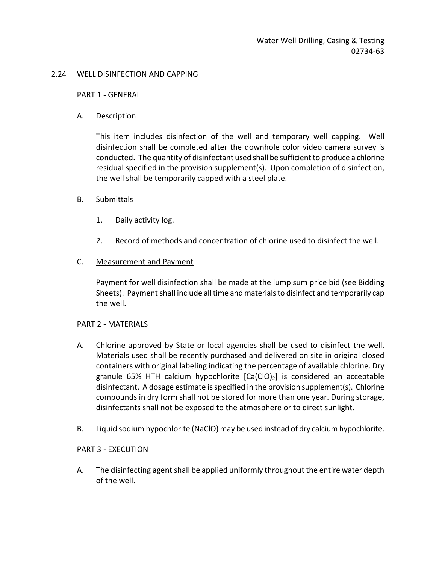### 2.24 WELL DISINFECTION AND CAPPING

#### PART 1 - GENERAL

### A. Description

This item includes disinfection of the well and temporary well capping. Well disinfection shall be completed after the downhole color video camera survey is conducted. The quantity of disinfectant used shall be sufficient to produce a chlorine residual specified in the provision supplement(s). Upon completion of disinfection, the well shall be temporarily capped with a steel plate.

### B. Submittals

- 1. Daily activity log.
- 2. Record of methods and concentration of chlorine used to disinfect the well.

### C. Measurement and Payment

Payment for well disinfection shall be made at the lump sum price bid (see Bidding Sheets). Payment shall include all time and materials to disinfect and temporarily cap the well.

### PART 2 - MATERIALS

- A. Chlorine approved by State or local agencies shall be used to disinfect the well. Materials used shall be recently purchased and delivered on site in original closed containers with original labeling indicating the percentage of available chlorine. Dry granule 65% HTH calcium hypochlorite  $[Ca(C10)_2]$  is considered an acceptable disinfectant. A dosage estimate is specified in the provision supplement(s). Chlorine compounds in dry form shall not be stored for more than one year. During storage, disinfectants shall not be exposed to the atmosphere or to direct sunlight.
- B. Liquid sodium hypochlorite (NaClO) may be used instead of dry calcium hypochlorite.

### PART 3 - EXECUTION

A. The disinfecting agent shall be applied uniformly throughout the entire water depth of the well.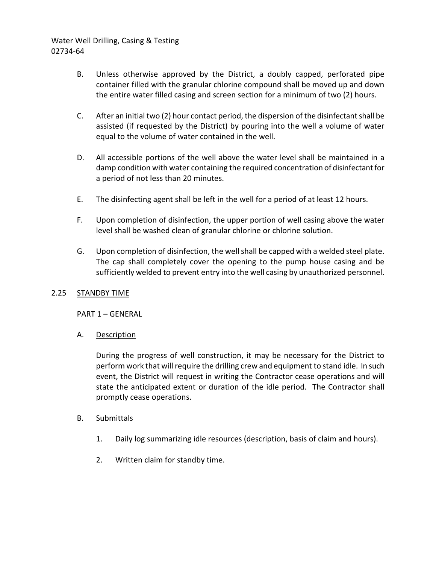- B. Unless otherwise approved by the District, a doubly capped, perforated pipe container filled with the granular chlorine compound shall be moved up and down the entire water filled casing and screen section for a minimum of two (2) hours.
- C. After an initial two (2) hour contact period, the dispersion of the disinfectant shall be assisted (if requested by the District) by pouring into the well a volume of water equal to the volume of water contained in the well.
- D. All accessible portions of the well above the water level shall be maintained in a damp condition with water containing the required concentration of disinfectant for a period of not less than 20 minutes.
- E. The disinfecting agent shall be left in the well for a period of at least 12 hours.
- F. Upon completion of disinfection, the upper portion of well casing above the water level shall be washed clean of granular chlorine or chlorine solution.
- G. Upon completion of disinfection, the well shall be capped with a welded steel plate. The cap shall completely cover the opening to the pump house casing and be sufficiently welded to prevent entry into the well casing by unauthorized personnel.

# 2.25 STANDBY TIME

PART 1 – GENERAL

A. Description

During the progress of well construction, it may be necessary for the District to perform work that will require the drilling crew and equipment to stand idle. In such event, the District will request in writing the Contractor cease operations and will state the anticipated extent or duration of the idle period. The Contractor shall promptly cease operations.

### B. Submittals

- 1. Daily log summarizing idle resources (description, basis of claim and hours).
- 2. Written claim for standby time.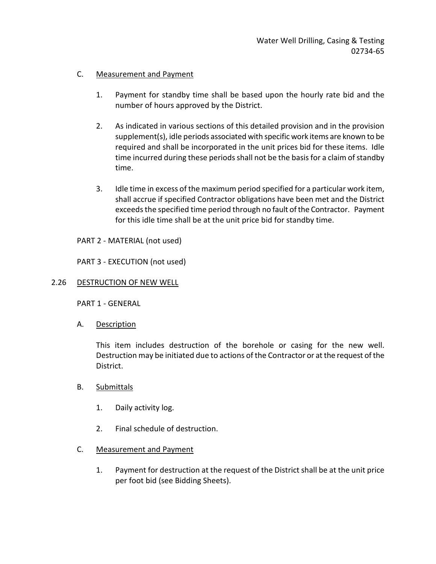## C. Measurement and Payment

- 1. Payment for standby time shall be based upon the hourly rate bid and the number of hours approved by the District.
- 2. As indicated in various sections of this detailed provision and in the provision supplement(s), idle periods associated with specific work items are known to be required and shall be incorporated in the unit prices bid for these items. Idle time incurred during these periods shall not be the basis for a claim of standby time.
- 3. Idle time in excess of the maximum period specified for a particular work item, shall accrue if specified Contractor obligations have been met and the District exceeds the specified time period through no fault of the Contractor. Payment for this idle time shall be at the unit price bid for standby time.

PART 2 - MATERIAL (not used)

PART 3 - EXECUTION (not used)

### 2.26 DESTRUCTION OF NEW WELL

PART 1 - GENERAL

A. Description

This item includes destruction of the borehole or casing for the new well. Destruction may be initiated due to actions of the Contractor or at the request of the District.

- B. Submittals
	- 1. Daily activity log.
	- 2. Final schedule of destruction.

### C. Measurement and Payment

1. Payment for destruction at the request of the District shall be at the unit price per foot bid (see Bidding Sheets).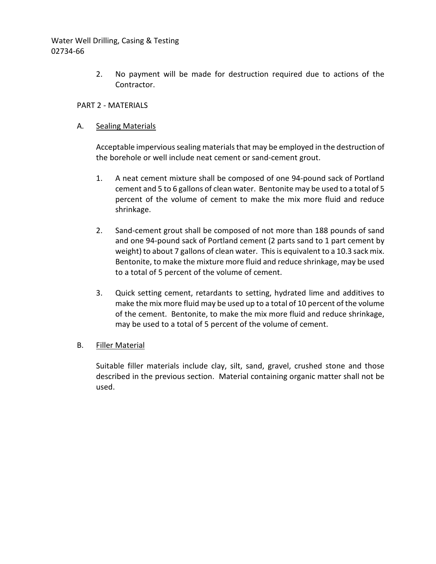> 2. No payment will be made for destruction required due to actions of the Contractor.

### PART 2 - MATERIALS

### A. Sealing Materials

Acceptable impervious sealing materials that may be employed in the destruction of the borehole or well include neat cement or sand-cement grout.

- 1. A neat cement mixture shall be composed of one 94-pound sack of Portland cement and 5 to 6 gallons of clean water. Bentonite may be used to a total of 5 percent of the volume of cement to make the mix more fluid and reduce shrinkage.
- 2. Sand-cement grout shall be composed of not more than 188 pounds of sand and one 94-pound sack of Portland cement (2 parts sand to 1 part cement by weight) to about 7 gallons of clean water. This is equivalent to a 10.3 sack mix. Bentonite, to make the mixture more fluid and reduce shrinkage, may be used to a total of 5 percent of the volume of cement.
- 3. Quick setting cement, retardants to setting, hydrated lime and additives to make the mix more fluid may be used up to a total of 10 percent of the volume of the cement. Bentonite, to make the mix more fluid and reduce shrinkage, may be used to a total of 5 percent of the volume of cement.

### B. Filler Material

Suitable filler materials include clay, silt, sand, gravel, crushed stone and those described in the previous section. Material containing organic matter shall not be used.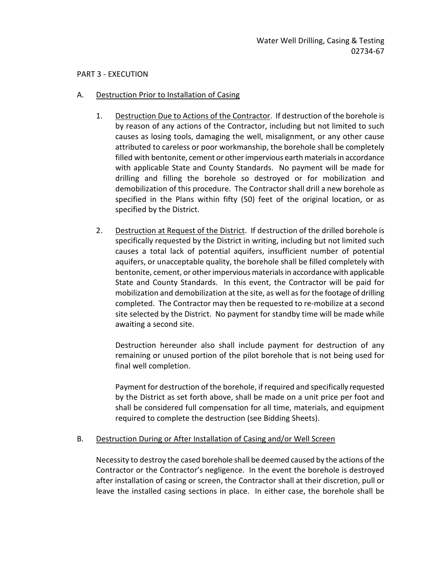#### PART 3 - EXECUTION

### A. Destruction Prior to Installation of Casing

- 1. Destruction Due to Actions of the Contractor. If destruction of the borehole is by reason of any actions of the Contractor, including but not limited to such causes as losing tools, damaging the well, misalignment, or any other cause attributed to careless or poor workmanship, the borehole shall be completely filled with bentonite, cement or other impervious earth materials in accordance with applicable State and County Standards. No payment will be made for drilling and filling the borehole so destroyed or for mobilization and demobilization of this procedure. The Contractor shall drill a new borehole as specified in the Plans within fifty (50) feet of the original location, or as specified by the District.
- 2. Destruction at Request of the District. If destruction of the drilled borehole is specifically requested by the District in writing, including but not limited such causes a total lack of potential aquifers, insufficient number of potential aquifers, or unacceptable quality, the borehole shall be filled completely with bentonite, cement, or other impervious materials in accordance with applicable State and County Standards. In this event, the Contractor will be paid for mobilization and demobilization at the site, as well as for the footage of drilling completed. The Contractor may then be requested to re-mobilize at a second site selected by the District. No payment for standby time will be made while awaiting a second site.

Destruction hereunder also shall include payment for destruction of any remaining or unused portion of the pilot borehole that is not being used for final well completion.

Payment for destruction of the borehole, if required and specifically requested by the District as set forth above, shall be made on a unit price per foot and shall be considered full compensation for all time, materials, and equipment required to complete the destruction (see Bidding Sheets).

### B. Destruction During or After Installation of Casing and/or Well Screen

Necessity to destroy the cased borehole shall be deemed caused by the actions of the Contractor or the Contractor's negligence. In the event the borehole is destroyed after installation of casing or screen, the Contractor shall at their discretion, pull or leave the installed casing sections in place. In either case, the borehole shall be